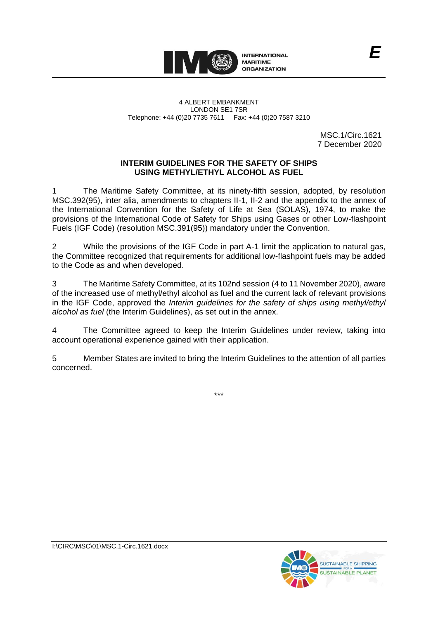

MSC.1/Circ.1621 7 December 2020

### **INTERIM GUIDELINES FOR THE SAFETY OF SHIPS USING METHYL/ETHYL ALCOHOL AS FUEL**

1 The Maritime Safety Committee, at its ninety-fifth session, adopted, by resolution MSC.392(95), inter alia, amendments to chapters II-1, II-2 and the appendix to the annex of the International Convention for the Safety of Life at Sea (SOLAS), 1974, to make the provisions of the International Code of Safety for Ships using Gases or other Low-flashpoint Fuels (IGF Code) (resolution MSC.391(95)) mandatory under the Convention.

2 While the provisions of the IGF Code in part A-1 limit the application to natural gas, the Committee recognized that requirements for additional low-flashpoint fuels may be added to the Code as and when developed.

3 The Maritime Safety Committee, at its 102nd session (4 to 11 November 2020), aware of the increased use of methyl/ethyl alcohol as fuel and the current lack of relevant provisions in the IGF Code, approved the *Interim guidelines for the safety of ships using methyl/ethyl alcohol as fuel* (the Interim Guidelines), as set out in the annex.

4 The Committee agreed to keep the Interim Guidelines under review, taking into account operational experience gained with their application.

5 Member States are invited to bring the Interim Guidelines to the attention of all parties concerned.

\*\*\*

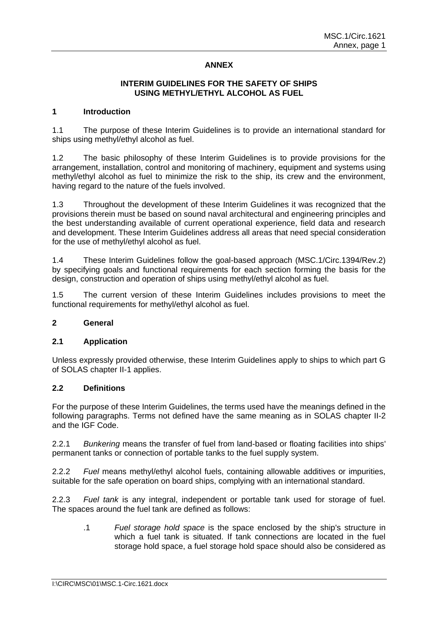# **ANNEX**

### **INTERIM GUIDELINES FOR THE SAFETY OF SHIPS USING METHYL/ETHYL ALCOHOL AS FUEL**

### **1 Introduction**

1.1 The purpose of these Interim Guidelines is to provide an international standard for ships using methyl/ethyl alcohol as fuel.

1.2 The basic philosophy of these Interim Guidelines is to provide provisions for the arrangement, installation, control and monitoring of machinery, equipment and systems using methyl/ethyl alcohol as fuel to minimize the risk to the ship, its crew and the environment, having regard to the nature of the fuels involved.

1.3 Throughout the development of these Interim Guidelines it was recognized that the provisions therein must be based on sound naval architectural and engineering principles and the best understanding available of current operational experience, field data and research and development. These Interim Guidelines address all areas that need special consideration for the use of methyl/ethyl alcohol as fuel.

1.4 These Interim Guidelines follow the goal-based approach (MSC.1/Circ.1394/Rev.2) by specifying goals and functional requirements for each section forming the basis for the design, construction and operation of ships using methyl/ethyl alcohol as fuel.

1.5 The current version of these Interim Guidelines includes provisions to meet the functional requirements for methyl/ethyl alcohol as fuel.

#### **2 General**

### **2.1 Application**

Unless expressly provided otherwise, these Interim Guidelines apply to ships to which part G of SOLAS chapter II-1 applies.

### **2.2 Definitions**

For the purpose of these Interim Guidelines, the terms used have the meanings defined in the following paragraphs. Terms not defined have the same meaning as in SOLAS chapter II-2 and the IGF Code.

2.2.1 *Bunkering* means the transfer of fuel from land-based or floating facilities into ships' permanent tanks or connection of portable tanks to the fuel supply system.

2.2.2 *Fuel* means methyl/ethyl alcohol fuels, containing allowable additives or impurities, suitable for the safe operation on board ships, complying with an international standard.

2.2.3 *Fuel tank* is any integral, independent or portable tank used for storage of fuel. The spaces around the fuel tank are defined as follows:

.1 *Fuel storage hold space* is the space enclosed by the ship's structure in which a fuel tank is situated. If tank connections are located in the fuel storage hold space, a fuel storage hold space should also be considered as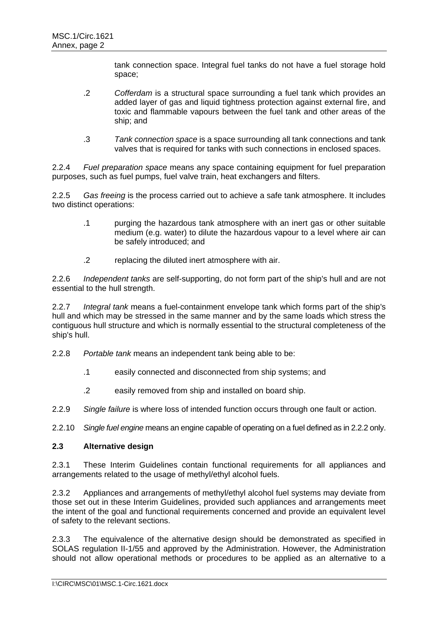tank connection space. Integral fuel tanks do not have a fuel storage hold space;

- .2 *Cofferdam* is a structural space surrounding a fuel tank which provides an added layer of gas and liquid tightness protection against external fire, and toxic and flammable vapours between the fuel tank and other areas of the ship; and
- .3 *Tank connection space* is a space surrounding all tank connections and tank valves that is required for tanks with such connections in enclosed spaces.

2.2.4 *Fuel preparation space* means any space containing equipment for fuel preparation purposes, such as fuel pumps, fuel valve train, heat exchangers and filters.

2.2.5 *Gas freeing* is the process carried out to achieve a safe tank atmosphere. It includes two distinct operations:

- .1 purging the hazardous tank atmosphere with an inert gas or other suitable medium (e.g. water) to dilute the hazardous vapour to a level where air can be safely introduced; and
- .2 replacing the diluted inert atmosphere with air.

2.2.6 *Independent tanks* are self-supporting, do not form part of the ship's hull and are not essential to the hull strength.

2.2.7 *Integral tank* means a fuel-containment envelope tank which forms part of the ship's hull and which may be stressed in the same manner and by the same loads which stress the contiguous hull structure and which is normally essential to the structural completeness of the ship's hull.

2.2.8 *Portable tank* means an independent tank being able to be:

- .1 easily connected and disconnected from ship systems; and
- .2 easily removed from ship and installed on board ship.
- 2.2.9 *Single failure* is where loss of intended function occurs through one fault or action.
- 2.2.10 *Single fuel engine* means an engine capable of operating on a fuel defined as in 2.2.2 only.

## **2.3 Alternative design**

2.3.1 These Interim Guidelines contain functional requirements for all appliances and arrangements related to the usage of methyl/ethyl alcohol fuels.

2.3.2 Appliances and arrangements of methyl/ethyl alcohol fuel systems may deviate from those set out in these Interim Guidelines, provided such appliances and arrangements meet the intent of the goal and functional requirements concerned and provide an equivalent level of safety to the relevant sections.

2.3.3 The equivalence of the alternative design should be demonstrated as specified in SOLAS regulation II-1/55 and approved by the Administration. However, the Administration should not allow operational methods or procedures to be applied as an alternative to a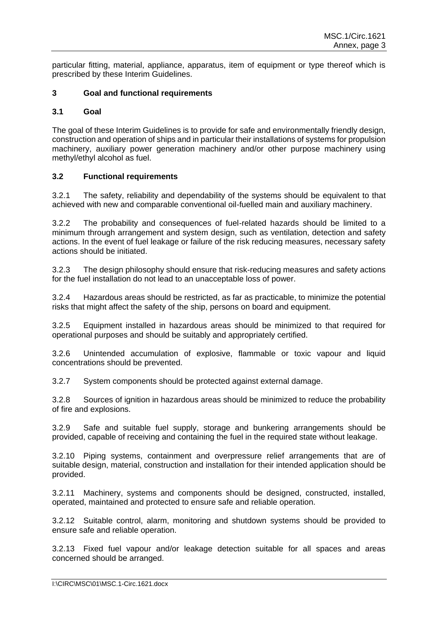particular fitting, material, appliance, apparatus, item of equipment or type thereof which is prescribed by these Interim Guidelines.

## **3 Goal and functional requirements**

### **3.1 Goal**

The goal of these Interim Guidelines is to provide for safe and environmentally friendly design, construction and operation of ships and in particular their installations of systems for propulsion machinery, auxiliary power generation machinery and/or other purpose machinery using methyl/ethyl alcohol as fuel.

# **3.2 Functional requirements**

3.2.1 The safety, reliability and dependability of the systems should be equivalent to that achieved with new and comparable conventional oil-fuelled main and auxiliary machinery.

3.2.2 The probability and consequences of fuel-related hazards should be limited to a minimum through arrangement and system design, such as ventilation, detection and safety actions. In the event of fuel leakage or failure of the risk reducing measures, necessary safety actions should be initiated.

3.2.3 The design philosophy should ensure that risk-reducing measures and safety actions for the fuel installation do not lead to an unacceptable loss of power.

3.2.4 Hazardous areas should be restricted, as far as practicable, to minimize the potential risks that might affect the safety of the ship, persons on board and equipment.

3.2.5 Equipment installed in hazardous areas should be minimized to that required for operational purposes and should be suitably and appropriately certified.

3.2.6 Unintended accumulation of explosive, flammable or toxic vapour and liquid concentrations should be prevented.

3.2.7 System components should be protected against external damage.

3.2.8 Sources of ignition in hazardous areas should be minimized to reduce the probability of fire and explosions.

3.2.9 Safe and suitable fuel supply, storage and bunkering arrangements should be provided, capable of receiving and containing the fuel in the required state without leakage.

3.2.10 Piping systems, containment and overpressure relief arrangements that are of suitable design, material, construction and installation for their intended application should be provided.

3.2.11 Machinery, systems and components should be designed, constructed, installed, operated, maintained and protected to ensure safe and reliable operation.

3.2.12 Suitable control, alarm, monitoring and shutdown systems should be provided to ensure safe and reliable operation.

3.2.13 Fixed fuel vapour and/or leakage detection suitable for all spaces and areas concerned should be arranged.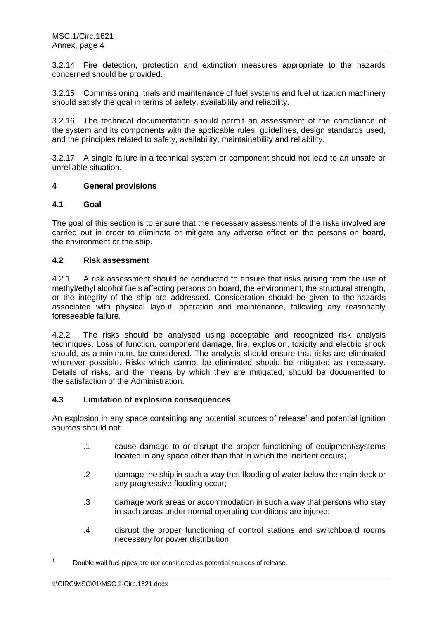3.2.14 Fire detection, protection and extinction measures appropriate to the hazards concerned should be provided.

3.2.15 Commissioning, trials and maintenance of fuel systems and fuel utilization machinery should satisfy the goal in terms of safety, availability and reliability.

3.2.16 The technical documentation should permit an assessment of the compliance of the system and its components with the applicable rules, guidelines, design standards used, and the principles related to safety, availability, maintainability and reliability.

3.2.17 A single failure in a technical system or component should not lead to an unsafe or unreliable situation.

### **4 General provisions**

### **4.1 Goal**

The goal of this section is to ensure that the necessary assessments of the risks involved are carried out in order to eliminate or mitigate any adverse effect on the persons on board, the environment or the ship.

### **4.2 Risk assessment**

4.2.1 A risk assessment should be conducted to ensure that risks arising from the use of methyl/ethyl alcohol fuels affecting persons on board, the environment, the structural strength, or the integrity of the ship are addressed. Consideration should be given to the hazards associated with physical layout, operation and maintenance, following any reasonably foreseeable failure.

4.2.2 The risks should be analysed using acceptable and recognized risk analysis techniques. Loss of function, component damage, fire, explosion, toxicity and electric shock should, as a minimum, be considered. The analysis should ensure that risks are eliminated wherever possible. Risks which cannot be eliminated should be mitigated as necessary. Details of risks, and the means by which they are mitigated, should be documented to the satisfaction of the Administration.

## **4.3 Limitation of explosion consequences**

An explosion in any space containing any potential sources of release<sup>1</sup> and potential ignition sources should not:

- .1 cause damage to or disrupt the proper functioning of equipment/systems located in any space other than that in which the incident occurs;
- .2 damage the ship in such a way that flooding of water below the main deck or any progressive flooding occur;
- .3 damage work areas or accommodation in such a way that persons who stay in such areas under normal operating conditions are injured;
- .4 disrupt the proper functioning of control stations and switchboard rooms necessary for power distribution;

Double wall fuel pipes are not considered as potential sources of release.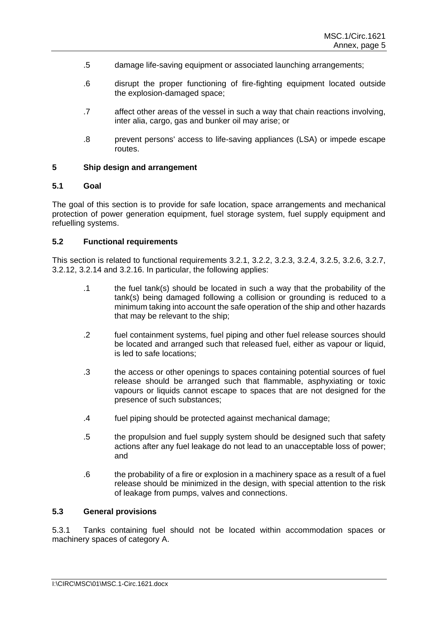- .5 damage life-saving equipment or associated launching arrangements;
- .6 disrupt the proper functioning of fire-fighting equipment located outside the explosion-damaged space;
- .7 affect other areas of the vessel in such a way that chain reactions involving, inter alia, cargo, gas and bunker oil may arise; or
- .8 prevent persons' access to life-saving appliances (LSA) or impede escape routes.

#### **5 Ship design and arrangement**

### **5.1 Goal**

The goal of this section is to provide for safe location, space arrangements and mechanical protection of power generation equipment, fuel storage system, fuel supply equipment and refuelling systems.

### **5.2 Functional requirements**

This section is related to functional requirements 3.2.1, 3.2.2, 3.2.3, 3.2.4, 3.2.5, 3.2.6, 3.2.7, 3.2.12, 3.2.14 and 3.2.16. In particular, the following applies:

- .1 the fuel tank(s) should be located in such a way that the probability of the tank(s) being damaged following a collision or grounding is reduced to a minimum taking into account the safe operation of the ship and other hazards that may be relevant to the ship;
- .2 fuel containment systems, fuel piping and other fuel release sources should be located and arranged such that released fuel, either as vapour or liquid, is led to safe locations;
- .3 the access or other openings to spaces containing potential sources of fuel release should be arranged such that flammable, asphyxiating or toxic vapours or liquids cannot escape to spaces that are not designed for the presence of such substances;
- .4 fuel piping should be protected against mechanical damage;
- .5 the propulsion and fuel supply system should be designed such that safety actions after any fuel leakage do not lead to an unacceptable loss of power; and
- .6 the probability of a fire or explosion in a machinery space as a result of a fuel release should be minimized in the design, with special attention to the risk of leakage from pumps, valves and connections.

### **5.3 General provisions**

5.3.1 Tanks containing fuel should not be located within accommodation spaces or machinery spaces of category A.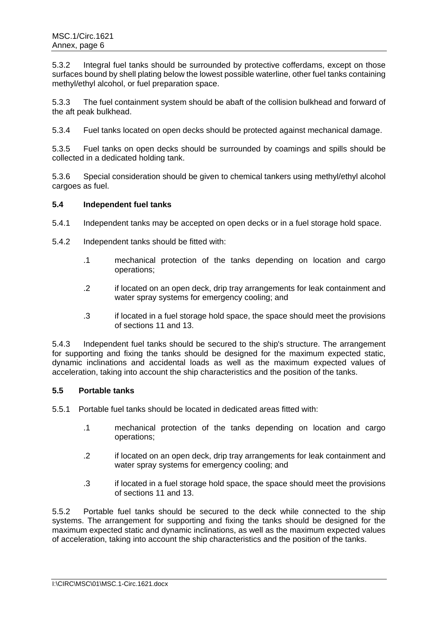5.3.2 Integral fuel tanks should be surrounded by protective cofferdams, except on those surfaces bound by shell plating below the lowest possible waterline, other fuel tanks containing methyl/ethyl alcohol, or fuel preparation space.

5.3.3 The fuel containment system should be abaft of the collision bulkhead and forward of the aft peak bulkhead.

5.3.4 Fuel tanks located on open decks should be protected against mechanical damage.

5.3.5 Fuel tanks on open decks should be surrounded by coamings and spills should be collected in a dedicated holding tank.

5.3.6 Special consideration should be given to chemical tankers using methyl/ethyl alcohol cargoes as fuel.

### **5.4 Independent fuel tanks**

- 5.4.1 Independent tanks may be accepted on open decks or in a fuel storage hold space.
- 5.4.2 Independent tanks should be fitted with:
	- .1 mechanical protection of the tanks depending on location and cargo operations;
	- .2 if located on an open deck, drip tray arrangements for leak containment and water spray systems for emergency cooling; and
	- .3 if located in a fuel storage hold space, the space should meet the provisions of sections 11 and 13.

5.4.3 Independent fuel tanks should be secured to the ship's structure. The arrangement for supporting and fixing the tanks should be designed for the maximum expected static, dynamic inclinations and accidental loads as well as the maximum expected values of acceleration, taking into account the ship characteristics and the position of the tanks.

## **5.5 Portable tanks**

5.5.1 Portable fuel tanks should be located in dedicated areas fitted with:

- .1 mechanical protection of the tanks depending on location and cargo operations;
- .2 if located on an open deck, drip tray arrangements for leak containment and water spray systems for emergency cooling; and
- .3 if located in a fuel storage hold space, the space should meet the provisions of sections 11 and 13.

5.5.2 Portable fuel tanks should be secured to the deck while connected to the ship systems. The arrangement for supporting and fixing the tanks should be designed for the maximum expected static and dynamic inclinations, as well as the maximum expected values of acceleration, taking into account the ship characteristics and the position of the tanks.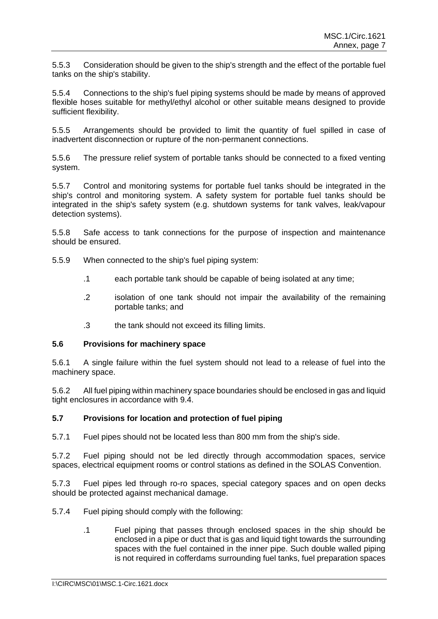5.5.3 Consideration should be given to the ship's strength and the effect of the portable fuel tanks on the ship's stability.

5.5.4 Connections to the ship's fuel piping systems should be made by means of approved flexible hoses suitable for methyl/ethyl alcohol or other suitable means designed to provide sufficient flexibility.

5.5.5 Arrangements should be provided to limit the quantity of fuel spilled in case of inadvertent disconnection or rupture of the non-permanent connections.

5.5.6 The pressure relief system of portable tanks should be connected to a fixed venting system.

5.5.7 Control and monitoring systems for portable fuel tanks should be integrated in the ship's control and monitoring system. A safety system for portable fuel tanks should be integrated in the ship's safety system (e.g. shutdown systems for tank valves, leak/vapour detection systems).

5.5.8 Safe access to tank connections for the purpose of inspection and maintenance should be ensured.

- 5.5.9 When connected to the ship's fuel piping system:
	- .1 each portable tank should be capable of being isolated at any time;
	- .2 isolation of one tank should not impair the availability of the remaining portable tanks; and
	- .3 the tank should not exceed its filling limits.

#### **5.6 Provisions for machinery space**

5.6.1 A single failure within the fuel system should not lead to a release of fuel into the machinery space.

5.6.2 All fuel piping within machinery space boundaries should be enclosed in gas and liquid tight enclosures in accordance with 9.4.

### **5.7 Provisions for location and protection of fuel piping**

5.7.1 Fuel pipes should not be located less than 800 mm from the ship's side.

5.7.2 Fuel piping should not be led directly through accommodation spaces, service spaces, electrical equipment rooms or control stations as defined in the SOLAS Convention.

5.7.3 Fuel pipes led through ro-ro spaces, special category spaces and on open decks should be protected against mechanical damage.

- 5.7.4 Fuel piping should comply with the following:
	- .1 Fuel piping that passes through enclosed spaces in the ship should be enclosed in a pipe or duct that is gas and liquid tight towards the surrounding spaces with the fuel contained in the inner pipe. Such double walled piping is not required in cofferdams surrounding fuel tanks, fuel preparation spaces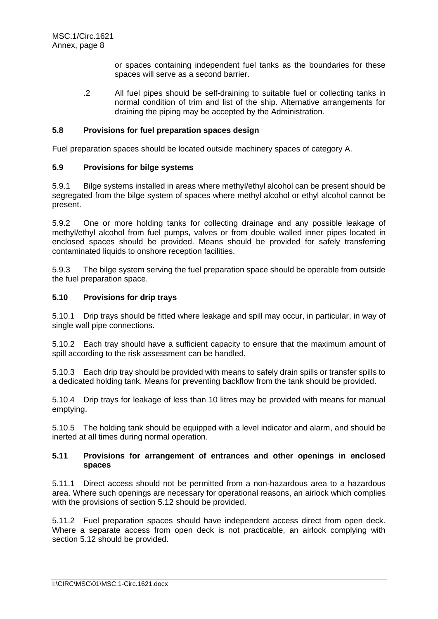or spaces containing independent fuel tanks as the boundaries for these spaces will serve as a second barrier.

.2 All fuel pipes should be self-draining to suitable fuel or collecting tanks in normal condition of trim and list of the ship. Alternative arrangements for draining the piping may be accepted by the Administration.

### **5.8 Provisions for fuel preparation spaces design**

Fuel preparation spaces should be located outside machinery spaces of category A.

### **5.9 Provisions for bilge systems**

5.9.1 Bilge systems installed in areas where methyl/ethyl alcohol can be present should be segregated from the bilge system of spaces where methyl alcohol or ethyl alcohol cannot be present.

5.9.2 One or more holding tanks for collecting drainage and any possible leakage of methyl/ethyl alcohol from fuel pumps, valves or from double walled inner pipes located in enclosed spaces should be provided. Means should be provided for safely transferring contaminated liquids to onshore reception facilities.

5.9.3 The bilge system serving the fuel preparation space should be operable from outside the fuel preparation space.

### **5.10 Provisions for drip trays**

5.10.1 Drip trays should be fitted where leakage and spill may occur, in particular, in way of single wall pipe connections.

5.10.2 Each tray should have a sufficient capacity to ensure that the maximum amount of spill according to the risk assessment can be handled.

5.10.3 Each drip tray should be provided with means to safely drain spills or transfer spills to a dedicated holding tank. Means for preventing backflow from the tank should be provided.

5.10.4 Drip trays for leakage of less than 10 litres may be provided with means for manual emptying.

5.10.5 The holding tank should be equipped with a level indicator and alarm, and should be inerted at all times during normal operation.

### **5.11 Provisions for arrangement of entrances and other openings in enclosed spaces**

5.11.1 Direct access should not be permitted from a non-hazardous area to a hazardous area. Where such openings are necessary for operational reasons, an airlock which complies with the provisions of section 5.12 should be provided.

5.11.2 Fuel preparation spaces should have independent access direct from open deck. Where a separate access from open deck is not practicable, an airlock complying with section 5.12 should be provided.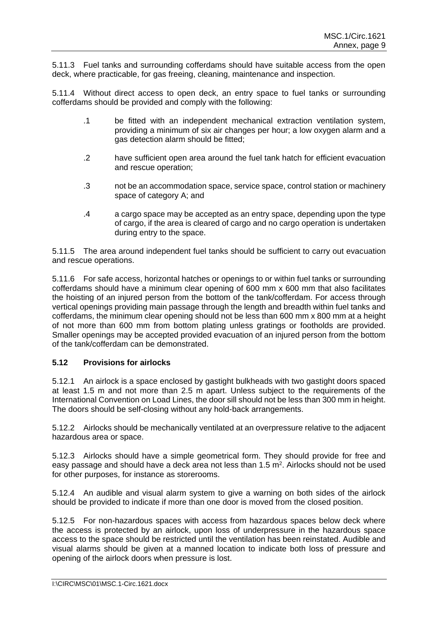5.11.3 Fuel tanks and surrounding cofferdams should have suitable access from the open deck, where practicable, for gas freeing, cleaning, maintenance and inspection.

5.11.4 Without direct access to open deck, an entry space to fuel tanks or surrounding cofferdams should be provided and comply with the following:

- .1 be fitted with an independent mechanical extraction ventilation system, providing a minimum of six air changes per hour; a low oxygen alarm and a gas detection alarm should be fitted;
- .2 have sufficient open area around the fuel tank hatch for efficient evacuation and rescue operation;
- .3 not be an accommodation space, service space, control station or machinery space of category A; and
- .4 a cargo space may be accepted as an entry space, depending upon the type of cargo, if the area is cleared of cargo and no cargo operation is undertaken during entry to the space.

5.11.5 The area around independent fuel tanks should be sufficient to carry out evacuation and rescue operations.

5.11.6 For safe access, horizontal hatches or openings to or within fuel tanks or surrounding cofferdams should have a minimum clear opening of 600 mm x 600 mm that also facilitates the hoisting of an injured person from the bottom of the tank/cofferdam. For access through vertical openings providing main passage through the length and breadth within fuel tanks and cofferdams, the minimum clear opening should not be less than 600 mm x 800 mm at a height of not more than 600 mm from bottom plating unless gratings or footholds are provided. Smaller openings may be accepted provided evacuation of an injured person from the bottom of the tank/cofferdam can be demonstrated.

# **5.12 Provisions for airlocks**

5.12.1 An airlock is a space enclosed by gastight bulkheads with two gastight doors spaced at least 1.5 m and not more than 2.5 m apart. Unless subject to the requirements of the International Convention on Load Lines, the door sill should not be less than 300 mm in height. The doors should be self-closing without any hold-back arrangements.

5.12.2 Airlocks should be mechanically ventilated at an overpressure relative to the adjacent hazardous area or space.

5.12.3 Airlocks should have a simple geometrical form. They should provide for free and easy passage and should have a deck area not less than 1.5 m<sup>2</sup>. Airlocks should not be used for other purposes, for instance as storerooms.

5.12.4 An audible and visual alarm system to give a warning on both sides of the airlock should be provided to indicate if more than one door is moved from the closed position.

5.12.5 For non-hazardous spaces with access from hazardous spaces below deck where the access is protected by an airlock, upon loss of underpressure in the hazardous space access to the space should be restricted until the ventilation has been reinstated. Audible and visual alarms should be given at a manned location to indicate both loss of pressure and opening of the airlock doors when pressure is lost.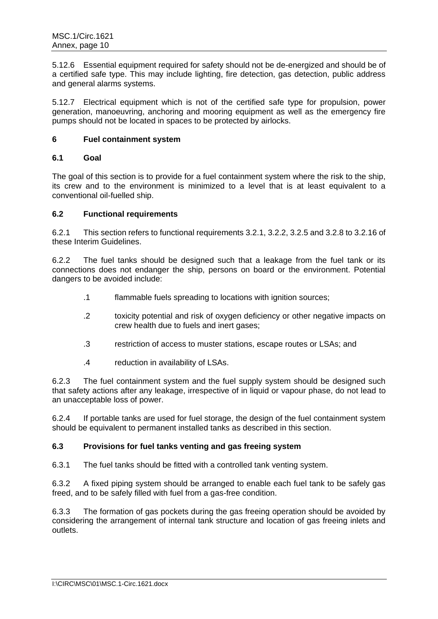5.12.6 Essential equipment required for safety should not be de-energized and should be of a certified safe type. This may include lighting, fire detection, gas detection, public address and general alarms systems.

5.12.7 Electrical equipment which is not of the certified safe type for propulsion, power generation, manoeuvring, anchoring and mooring equipment as well as the emergency fire pumps should not be located in spaces to be protected by airlocks.

## **6 Fuel containment system**

# **6.1 Goal**

The goal of this section is to provide for a fuel containment system where the risk to the ship, its crew and to the environment is minimized to a level that is at least equivalent to a conventional oil-fuelled ship.

# **6.2 Functional requirements**

6.2.1 This section refers to functional requirements 3.2.1, 3.2.2, 3.2.5 and 3.2.8 to 3.2.16 of these Interim Guidelines.

6.2.2 The fuel tanks should be designed such that a leakage from the fuel tank or its connections does not endanger the ship, persons on board or the environment. Potential dangers to be avoided include:

- .1 flammable fuels spreading to locations with ignition sources;
- .2 toxicity potential and risk of oxygen deficiency or other negative impacts on crew health due to fuels and inert gases;
- .3 restriction of access to muster stations, escape routes or LSAs; and
- .4 reduction in availability of LSAs.

6.2.3 The fuel containment system and the fuel supply system should be designed such that safety actions after any leakage, irrespective of in liquid or vapour phase, do not lead to an unacceptable loss of power.

6.2.4 If portable tanks are used for fuel storage, the design of the fuel containment system should be equivalent to permanent installed tanks as described in this section.

### **6.3 Provisions for fuel tanks venting and gas freeing system**

6.3.1 The fuel tanks should be fitted with a controlled tank venting system.

6.3.2 A fixed piping system should be arranged to enable each fuel tank to be safely gas freed, and to be safely filled with fuel from a gas-free condition.

6.3.3 The formation of gas pockets during the gas freeing operation should be avoided by considering the arrangement of internal tank structure and location of gas freeing inlets and outlets.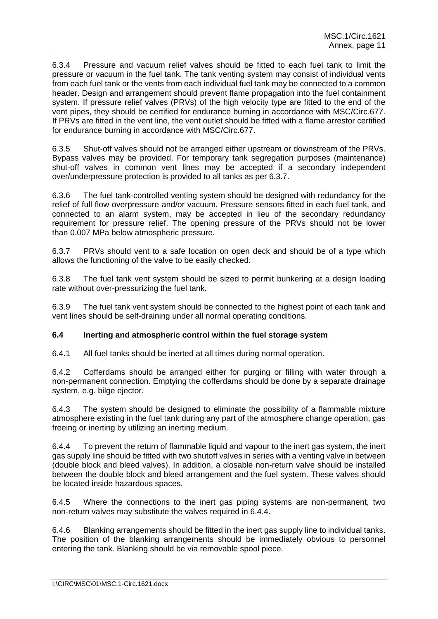6.3.4 Pressure and vacuum relief valves should be fitted to each fuel tank to limit the pressure or vacuum in the fuel tank. The tank venting system may consist of individual vents from each fuel tank or the vents from each individual fuel tank may be connected to a common header. Design and arrangement should prevent flame propagation into the fuel containment system. If pressure relief valves (PRVs) of the high velocity type are fitted to the end of the vent pipes, they should be certified for endurance burning in accordance with MSC/Circ.677. If PRVs are fitted in the vent line, the vent outlet should be fitted with a flame arrestor certified for endurance burning in accordance with MSC/Circ.677.

6.3.5 Shut-off valves should not be arranged either upstream or downstream of the PRVs. Bypass valves may be provided. For temporary tank segregation purposes (maintenance) shut-off valves in common vent lines may be accepted if a secondary independent over/underpressure protection is provided to all tanks as per 6.3.7.

6.3.6 The fuel tank-controlled venting system should be designed with redundancy for the relief of full flow overpressure and/or vacuum. Pressure sensors fitted in each fuel tank, and connected to an alarm system, may be accepted in lieu of the secondary redundancy requirement for pressure relief. The opening pressure of the PRVs should not be lower than 0.007 MPa below atmospheric pressure.

6.3.7 PRVs should vent to a safe location on open deck and should be of a type which allows the functioning of the valve to be easily checked.

6.3.8 The fuel tank vent system should be sized to permit bunkering at a design loading rate without over-pressurizing the fuel tank.

6.3.9 The fuel tank vent system should be connected to the highest point of each tank and vent lines should be self-draining under all normal operating conditions.

### **6.4 Inerting and atmospheric control within the fuel storage system**

6.4.1 All fuel tanks should be inerted at all times during normal operation.

6.4.2 Cofferdams should be arranged either for purging or filling with water through a non-permanent connection. Emptying the cofferdams should be done by a separate drainage system, e.g. bilge ejector.

6.4.3 The system should be designed to eliminate the possibility of a flammable mixture atmosphere existing in the fuel tank during any part of the atmosphere change operation, gas freeing or inerting by utilizing an inerting medium.

6.4.4 To prevent the return of flammable liquid and vapour to the inert gas system, the inert gas supply line should be fitted with two shutoff valves in series with a venting valve in between (double block and bleed valves). In addition, a closable non-return valve should be installed between the double block and bleed arrangement and the fuel system. These valves should be located inside hazardous spaces.

6.4.5 Where the connections to the inert gas piping systems are non-permanent, two non-return valves may substitute the valves required in 6.4.4.

6.4.6 Blanking arrangements should be fitted in the inert gas supply line to individual tanks. The position of the blanking arrangements should be immediately obvious to personnel entering the tank. Blanking should be via removable spool piece.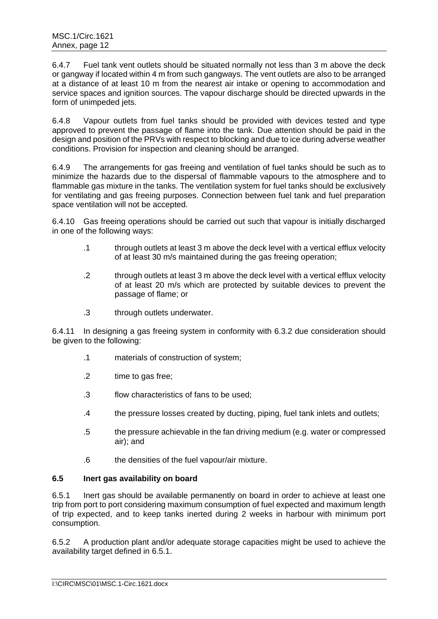6.4.7 Fuel tank vent outlets should be situated normally not less than 3 m above the deck or gangway if located within 4 m from such gangways. The vent outlets are also to be arranged at a distance of at least 10 m from the nearest air intake or opening to accommodation and service spaces and ignition sources. The vapour discharge should be directed upwards in the form of unimpeded jets.

6.4.8 Vapour outlets from fuel tanks should be provided with devices tested and type approved to prevent the passage of flame into the tank. Due attention should be paid in the design and position of the PRVs with respect to blocking and due to ice during adverse weather conditions. Provision for inspection and cleaning should be arranged.

6.4.9 The arrangements for gas freeing and ventilation of fuel tanks should be such as to minimize the hazards due to the dispersal of flammable vapours to the atmosphere and to flammable gas mixture in the tanks. The ventilation system for fuel tanks should be exclusively for ventilating and gas freeing purposes. Connection between fuel tank and fuel preparation space ventilation will not be accepted.

6.4.10 Gas freeing operations should be carried out such that vapour is initially discharged in one of the following ways:

- .1 through outlets at least 3 m above the deck level with a vertical efflux velocity of at least 30 m/s maintained during the gas freeing operation;
- .2 through outlets at least 3 m above the deck level with a vertical efflux velocity of at least 20 m/s which are protected by suitable devices to prevent the passage of flame; or
- .3 through outlets underwater.

6.4.11 In designing a gas freeing system in conformity with 6.3.2 due consideration should be given to the following:

- .1 materials of construction of system;
- .2 time to gas free;
- .3 flow characteristics of fans to be used;
- .4 the pressure losses created by ducting, piping, fuel tank inlets and outlets;
- .5 the pressure achievable in the fan driving medium (e.g. water or compressed air); and
- .6 the densities of the fuel vapour/air mixture.

## **6.5 Inert gas availability on board**

6.5.1 Inert gas should be available permanently on board in order to achieve at least one trip from port to port considering maximum consumption of fuel expected and maximum length of trip expected, and to keep tanks inerted during 2 weeks in harbour with minimum port consumption.

6.5.2 A production plant and/or adequate storage capacities might be used to achieve the availability target defined in 6.5.1.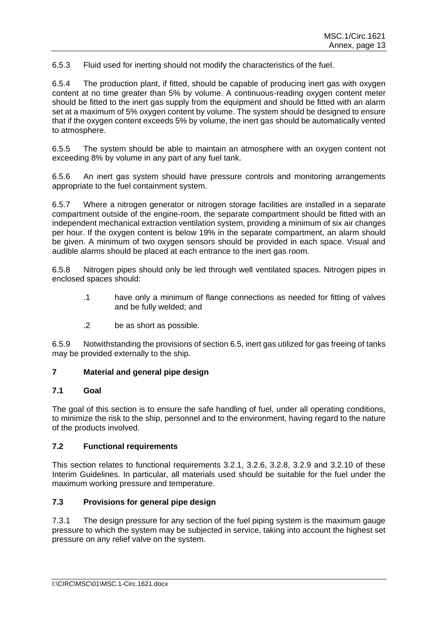6.5.3 Fluid used for inerting should not modify the characteristics of the fuel.

6.5.4 The production plant, if fitted, should be capable of producing inert gas with oxygen content at no time greater than 5% by volume. A continuous-reading oxygen content meter should be fitted to the inert gas supply from the equipment and should be fitted with an alarm set at a maximum of 5% oxygen content by volume. The system should be designed to ensure that if the oxygen content exceeds 5% by volume, the inert gas should be automatically vented to atmosphere.

6.5.5 The system should be able to maintain an atmosphere with an oxygen content not exceeding 8% by volume in any part of any fuel tank.

6.5.6 An inert gas system should have pressure controls and monitoring arrangements appropriate to the fuel containment system.

6.5.7 Where a nitrogen generator or nitrogen storage facilities are installed in a separate compartment outside of the engine-room, the separate compartment should be fitted with an independent mechanical extraction ventilation system, providing a minimum of six air changes per hour. If the oxygen content is below 19% in the separate compartment, an alarm should be given. A minimum of two oxygen sensors should be provided in each space. Visual and audible alarms should be placed at each entrance to the inert gas room.

6.5.8 Nitrogen pipes should only be led through well ventilated spaces. Nitrogen pipes in enclosed spaces should:

- .1 have only a minimum of flange connections as needed for fitting of valves and be fully welded; and
- .2 be as short as possible.

6.5.9 Notwithstanding the provisions of section 6.5, inert gas utilized for gas freeing of tanks may be provided externally to the ship.

## **7 Material and general pipe design**

### **7.1 Goal**

The goal of this section is to ensure the safe handling of fuel, under all operating conditions, to minimize the risk to the ship, personnel and to the environment, having regard to the nature of the products involved.

### **7.2 Functional requirements**

This section relates to functional requirements 3.2.1, 3.2.6, 3.2.8, 3.2.9 and 3.2.10 of these Interim Guidelines. In particular, all materials used should be suitable for the fuel under the maximum working pressure and temperature.

# **7.3 Provisions for general pipe design**

7.3.1 The design pressure for any section of the fuel piping system is the maximum gauge pressure to which the system may be subjected in service, taking into account the highest set pressure on any relief valve on the system.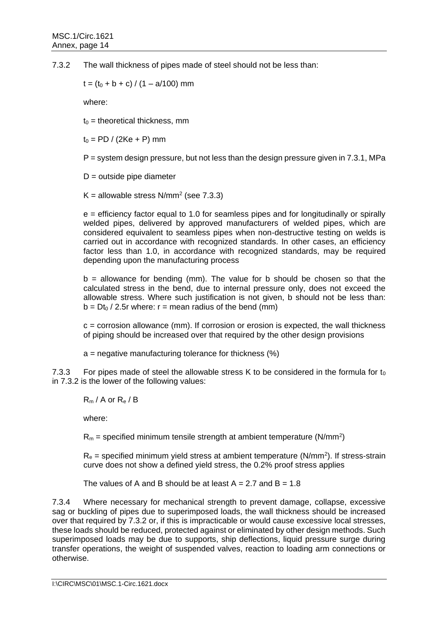7.3.2 The wall thickness of pipes made of steel should not be less than:

 $t = (t_0 + b + c) / (1 - a/100)$  mm

where:

 $t_0$  = theoretical thickness, mm

 $t_0 = PD / (2Ke + P)$  mm

P = system design pressure, but not less than the design pressure given in 7.3.1, MPa

 $D =$  outside pipe diameter

K = allowable stress  $N/mm^2$  (see 7.3.3)

e = efficiency factor equal to 1.0 for seamless pipes and for longitudinally or spirally welded pipes, delivered by approved manufacturers of welded pipes, which are considered equivalent to seamless pipes when non-destructive testing on welds is carried out in accordance with recognized standards. In other cases, an efficiency factor less than 1.0, in accordance with recognized standards, may be required depending upon the manufacturing process

 $b =$  allowance for bending (mm). The value for b should be chosen so that the calculated stress in the bend, due to internal pressure only, does not exceed the allowable stress. Where such justification is not given, b should not be less than:  $b = Dt_0 / 2.5r$  where:  $r =$  mean radius of the bend (mm)

 $c =$  corrosion allowance (mm). If corrosion or erosion is expected, the wall thickness of piping should be increased over that required by the other design provisions

 $a$  = negative manufacturing tolerance for thickness  $(%)$ 

7.3.3 For pipes made of steel the allowable stress K to be considered in the formula for  $t_0$ in 7.3.2 is the lower of the following values:

 $R_m / A$  or  $R_e / B$ 

where:

 $R_m$  = specified minimum tensile strength at ambient temperature (N/mm<sup>2</sup>)

 $R_e$  = specified minimum yield stress at ambient temperature (N/mm<sup>2</sup>). If stress-strain curve does not show a defined yield stress, the 0.2% proof stress applies

The values of A and B should be at least  $A = 2.7$  and  $B = 1.8$ 

7.3.4 Where necessary for mechanical strength to prevent damage, collapse, excessive sag or buckling of pipes due to superimposed loads, the wall thickness should be increased over that required by 7.3.2 or, if this is impracticable or would cause excessive local stresses, these loads should be reduced, protected against or eliminated by other design methods. Such superimposed loads may be due to supports, ship deflections, liquid pressure surge during transfer operations, the weight of suspended valves, reaction to loading arm connections or otherwise.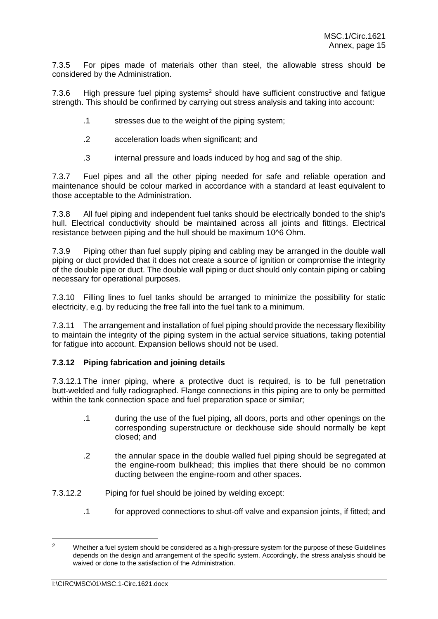7.3.5 For pipes made of materials other than steel, the allowable stress should be considered by the Administration.

7.3.6 High pressure fuel piping systems<sup>2</sup> should have sufficient constructive and fatigue strength. This should be confirmed by carrying out stress analysis and taking into account:

- .1 stresses due to the weight of the piping system;
- .2 acceleration loads when significant; and
- .3 internal pressure and loads induced by hog and sag of the ship.

7.3.7 Fuel pipes and all the other piping needed for safe and reliable operation and maintenance should be colour marked in accordance with a standard at least equivalent to those acceptable to the Administration.

7.3.8 All fuel piping and independent fuel tanks should be electrically bonded to the ship's hull. Electrical conductivity should be maintained across all joints and fittings. Electrical resistance between piping and the hull should be maximum 10^6 Ohm.

7.3.9 Piping other than fuel supply piping and cabling may be arranged in the double wall piping or duct provided that it does not create a source of ignition or compromise the integrity of the double pipe or duct. The double wall piping or duct should only contain piping or cabling necessary for operational purposes.

7.3.10 Filling lines to fuel tanks should be arranged to minimize the possibility for static electricity, e.g. by reducing the free fall into the fuel tank to a minimum.

7.3.11 The arrangement and installation of fuel piping should provide the necessary flexibility to maintain the integrity of the piping system in the actual service situations, taking potential for fatigue into account. Expansion bellows should not be used.

# **7.3.12 Piping fabrication and joining details**

7.3.12.1 The inner piping, where a protective duct is required, is to be full penetration butt-welded and fully radiographed. Flange connections in this piping are to only be permitted within the tank connection space and fuel preparation space or similar:

- .1 during the use of the fuel piping, all doors, ports and other openings on the corresponding superstructure or deckhouse side should normally be kept closed; and
- .2 the annular space in the double walled fuel piping should be segregated at the engine-room bulkhead; this implies that there should be no common ducting between the engine-room and other spaces.
- 7.3.12.2 Piping for fuel should be joined by welding except:
	- .1 for approved connections to shut-off valve and expansion joints, if fitted; and

<sup>&</sup>lt;sup>2</sup> Whether a fuel system should be considered as a high-pressure system for the purpose of these Guidelines depends on the design and arrangement of the specific system. Accordingly, the stress analysis should be waived or done to the satisfaction of the Administration.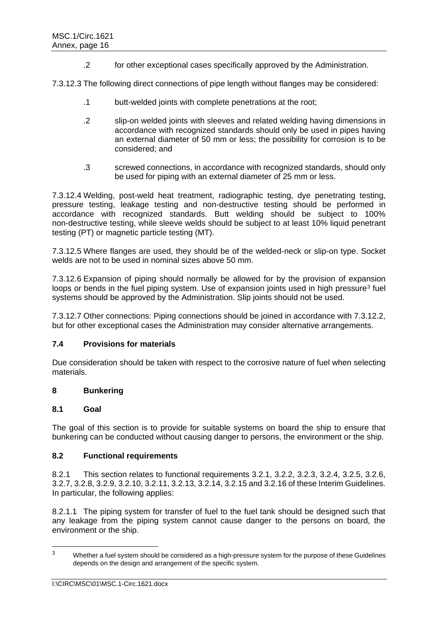.2 for other exceptional cases specifically approved by the Administration.

7.3.12.3 The following direct connections of pipe length without flanges may be considered:

- .1 butt-welded joints with complete penetrations at the root;
- .2 slip-on welded joints with sleeves and related welding having dimensions in accordance with recognized standards should only be used in pipes having an external diameter of 50 mm or less; the possibility for corrosion is to be considered; and
- .3 screwed connections, in accordance with recognized standards, should only be used for piping with an external diameter of 25 mm or less.

7.3.12.4 Welding, post-weld heat treatment, radiographic testing, dye penetrating testing, pressure testing, leakage testing and non-destructive testing should be performed in accordance with recognized standards. Butt welding should be subject to 100% non-destructive testing, while sleeve welds should be subject to at least 10% liquid penetrant testing (PT) or magnetic particle testing (MT).

7.3.12.5 Where flanges are used, they should be of the welded-neck or slip-on type. Socket welds are not to be used in nominal sizes above 50 mm.

7.3.12.6 Expansion of piping should normally be allowed for by the provision of expansion loops or bends in the fuel piping system. Use of expansion joints used in high pressure<sup>3</sup> fuel systems should be approved by the Administration. Slip joints should not be used.

7.3.12.7 Other connections: Piping connections should be joined in accordance with 7.3.12.2, but for other exceptional cases the Administration may consider alternative arrangements.

#### **7.4 Provisions for materials**

Due consideration should be taken with respect to the corrosive nature of fuel when selecting materials.

## **8 Bunkering**

#### **8.1 Goal**

The goal of this section is to provide for suitable systems on board the ship to ensure that bunkering can be conducted without causing danger to persons, the environment or the ship.

### **8.2 Functional requirements**

8.2.1 This section relates to functional requirements 3.2.1, 3.2.2, 3.2.3, 3.2.4, 3.2.5, 3.2.6, 3.2.7, 3.2.8, 3.2.9, 3.2.10, 3.2.11, 3.2.13, 3.2.14, 3.2.15 and 3.2.16 of these Interim Guidelines. In particular, the following applies:

8.2.1.1 The piping system for transfer of fuel to the fuel tank should be designed such that any leakage from the piping system cannot cause danger to the persons on board, the environment or the ship.

<sup>3</sup> Whether a fuel system should be considered as a high-pressure system for the purpose of these Guidelines depends on the design and arrangement of the specific system.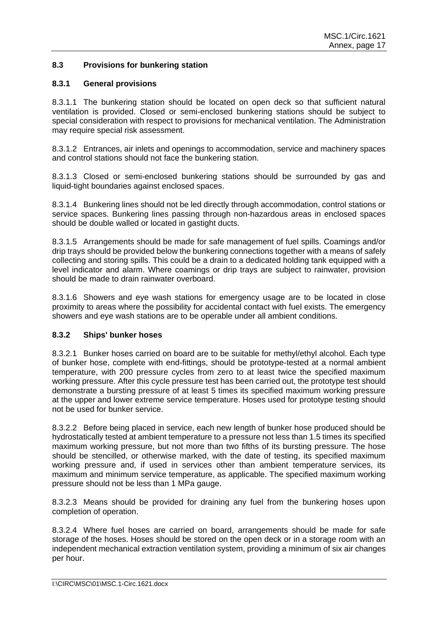# **8.3 Provisions for bunkering station**

### **8.3.1 General provisions**

8.3.1.1 The bunkering station should be located on open deck so that sufficient natural ventilation is provided. Closed or semi-enclosed bunkering stations should be subject to special consideration with respect to provisions for mechanical ventilation. The Administration may require special risk assessment.

8.3.1.2 Entrances, air inlets and openings to accommodation, service and machinery spaces and control stations should not face the bunkering station.

8.3.1.3 Closed or semi-enclosed bunkering stations should be surrounded by gas and liquid-tight boundaries against enclosed spaces.

8.3.1.4 Bunkering lines should not be led directly through accommodation, control stations or service spaces. Bunkering lines passing through non-hazardous areas in enclosed spaces should be double walled or located in gastight ducts.

8.3.1.5 Arrangements should be made for safe management of fuel spills. Coamings and/or drip trays should be provided below the bunkering connections together with a means of safely collecting and storing spills. This could be a drain to a dedicated holding tank equipped with a level indicator and alarm. Where coamings or drip trays are subject to rainwater, provision should be made to drain rainwater overboard.

8.3.1.6 Showers and eye wash stations for emergency usage are to be located in close proximity to areas where the possibility for accidental contact with fuel exists. The emergency showers and eye wash stations are to be operable under all ambient conditions.

#### **8.3.2 Ships' bunker hoses**

8.3.2.1 Bunker hoses carried on board are to be suitable for methyl/ethyl alcohol. Each type of bunker hose, complete with end-fittings, should be prototype-tested at a normal ambient temperature, with 200 pressure cycles from zero to at least twice the specified maximum working pressure. After this cycle pressure test has been carried out, the prototype test should demonstrate a bursting pressure of at least 5 times its specified maximum working pressure at the upper and lower extreme service temperature. Hoses used for prototype testing should not be used for bunker service.

8.3.2.2 Before being placed in service, each new length of bunker hose produced should be hydrostatically tested at ambient temperature to a pressure not less than 1.5 times its specified maximum working pressure, but not more than two fifths of its bursting pressure. The hose should be stencilled, or otherwise marked, with the date of testing, its specified maximum working pressure and, if used in services other than ambient temperature services, its maximum and minimum service temperature, as applicable. The specified maximum working pressure should not be less than 1 MPa gauge.

8.3.2.3 Means should be provided for draining any fuel from the bunkering hoses upon completion of operation.

8.3.2.4 Where fuel hoses are carried on board, arrangements should be made for safe storage of the hoses. Hoses should be stored on the open deck or in a storage room with an independent mechanical extraction ventilation system, providing a minimum of six air changes per hour.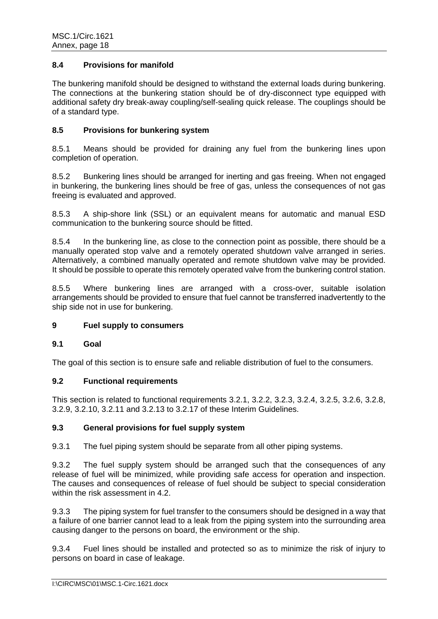## **8.4 Provisions for manifold**

The bunkering manifold should be designed to withstand the external loads during bunkering. The connections at the bunkering station should be of dry-disconnect type equipped with additional safety dry break-away coupling/self-sealing quick release. The couplings should be of a standard type.

### **8.5 Provisions for bunkering system**

8.5.1 Means should be provided for draining any fuel from the bunkering lines upon completion of operation.

8.5.2 Bunkering lines should be arranged for inerting and gas freeing. When not engaged in bunkering, the bunkering lines should be free of gas, unless the consequences of not gas freeing is evaluated and approved.

8.5.3 A ship-shore link (SSL) or an equivalent means for automatic and manual ESD communication to the bunkering source should be fitted.

8.5.4 In the bunkering line, as close to the connection point as possible, there should be a manually operated stop valve and a remotely operated shutdown valve arranged in series. Alternatively, a combined manually operated and remote shutdown valve may be provided. It should be possible to operate this remotely operated valve from the bunkering control station.

8.5.5 Where bunkering lines are arranged with a cross-over, suitable isolation arrangements should be provided to ensure that fuel cannot be transferred inadvertently to the ship side not in use for bunkering.

## **9 Fuel supply to consumers**

### **9.1 Goal**

The goal of this section is to ensure safe and reliable distribution of fuel to the consumers.

### **9.2 Functional requirements**

This section is related to functional requirements 3.2.1, 3.2.2, 3.2.3, 3.2.4, 3.2.5, 3.2.6, 3.2.8, 3.2.9, 3.2.10, 3.2.11 and 3.2.13 to 3.2.17 of these Interim Guidelines.

### **9.3 General provisions for fuel supply system**

9.3.1 The fuel piping system should be separate from all other piping systems.

9.3.2 The fuel supply system should be arranged such that the consequences of any release of fuel will be minimized, while providing safe access for operation and inspection. The causes and consequences of release of fuel should be subject to special consideration within the risk assessment in 4.2.

9.3.3 The piping system for fuel transfer to the consumers should be designed in a way that a failure of one barrier cannot lead to a leak from the piping system into the surrounding area causing danger to the persons on board, the environment or the ship.

9.3.4 Fuel lines should be installed and protected so as to minimize the risk of injury to persons on board in case of leakage.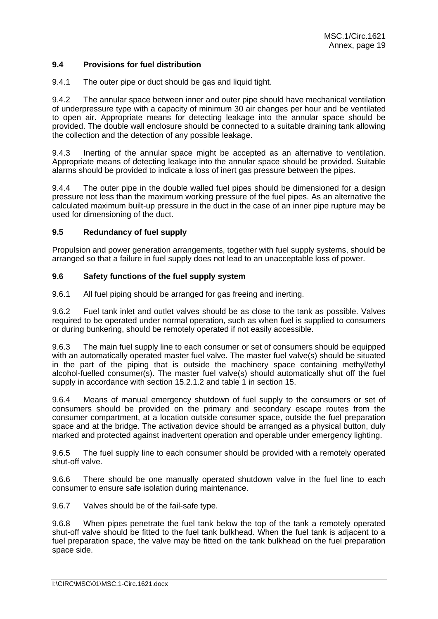## **9.4 Provisions for fuel distribution**

9.4.1 The outer pipe or duct should be gas and liquid tight.

9.4.2 The annular space between inner and outer pipe should have mechanical ventilation of underpressure type with a capacity of minimum 30 air changes per hour and be ventilated to open air. Appropriate means for detecting leakage into the annular space should be provided. The double wall enclosure should be connected to a suitable draining tank allowing the collection and the detection of any possible leakage.

9.4.3 Inerting of the annular space might be accepted as an alternative to ventilation. Appropriate means of detecting leakage into the annular space should be provided. Suitable alarms should be provided to indicate a loss of inert gas pressure between the pipes.

9.4.4 The outer pipe in the double walled fuel pipes should be dimensioned for a design pressure not less than the maximum working pressure of the fuel pipes. As an alternative the calculated maximum built-up pressure in the duct in the case of an inner pipe rupture may be used for dimensioning of the duct.

### **9.5 Redundancy of fuel supply**

Propulsion and power generation arrangements, together with fuel supply systems, should be arranged so that a failure in fuel supply does not lead to an unacceptable loss of power.

### **9.6 Safety functions of the fuel supply system**

9.6.1 All fuel piping should be arranged for gas freeing and inerting.

9.6.2 Fuel tank inlet and outlet valves should be as close to the tank as possible. Valves required to be operated under normal operation, such as when fuel is supplied to consumers or during bunkering, should be remotely operated if not easily accessible.

9.6.3 The main fuel supply line to each consumer or set of consumers should be equipped with an automatically operated master fuel valve. The master fuel valve(s) should be situated in the part of the piping that is outside the machinery space containing methyl/ethyl alcohol-fuelled consumer(s). The master fuel valve(s) should automatically shut off the fuel supply in accordance with section 15.2.1.2 and table 1 in section 15.

9.6.4 Means of manual emergency shutdown of fuel supply to the consumers or set of consumers should be provided on the primary and secondary escape routes from the consumer compartment, at a location outside consumer space, outside the fuel preparation space and at the bridge. The activation device should be arranged as a physical button, duly marked and protected against inadvertent operation and operable under emergency lighting.

9.6.5 The fuel supply line to each consumer should be provided with a remotely operated shut-off valve.

9.6.6 There should be one manually operated shutdown valve in the fuel line to each consumer to ensure safe isolation during maintenance.

9.6.7 Valves should be of the fail-safe type.

9.6.8 When pipes penetrate the fuel tank below the top of the tank a remotely operated shut-off valve should be fitted to the fuel tank bulkhead. When the fuel tank is adjacent to a fuel preparation space, the valve may be fitted on the tank bulkhead on the fuel preparation space side.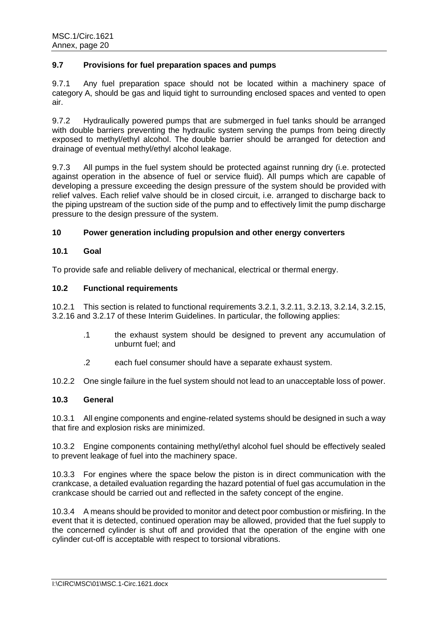## **9.7 Provisions for fuel preparation spaces and pumps**

9.7.1 Any fuel preparation space should not be located within a machinery space of category A, should be gas and liquid tight to surrounding enclosed spaces and vented to open air.

9.7.2 Hydraulically powered pumps that are submerged in fuel tanks should be arranged with double barriers preventing the hydraulic system serving the pumps from being directly exposed to methyl/ethyl alcohol. The double barrier should be arranged for detection and drainage of eventual methyl/ethyl alcohol leakage.

9.7.3 All pumps in the fuel system should be protected against running dry (i.e. protected against operation in the absence of fuel or service fluid). All pumps which are capable of developing a pressure exceeding the design pressure of the system should be provided with relief valves. Each relief valve should be in closed circuit, i.e. arranged to discharge back to the piping upstream of the suction side of the pump and to effectively limit the pump discharge pressure to the design pressure of the system.

# **10 Power generation including propulsion and other energy converters**

### **10.1 Goal**

To provide safe and reliable delivery of mechanical, electrical or thermal energy.

## **10.2 Functional requirements**

10.2.1 This section is related to functional requirements 3.2.1, 3.2.11, 3.2.13, 3.2.14, 3.2.15, 3.2.16 and 3.2.17 of these Interim Guidelines. In particular, the following applies:

- .1 the exhaust system should be designed to prevent any accumulation of unburnt fuel; and
- .2 each fuel consumer should have a separate exhaust system.

10.2.2 One single failure in the fuel system should not lead to an unacceptable loss of power.

## **10.3 General**

10.3.1 All engine components and engine-related systems should be designed in such a way that fire and explosion risks are minimized.

10.3.2 Engine components containing methyl/ethyl alcohol fuel should be effectively sealed to prevent leakage of fuel into the machinery space.

10.3.3 For engines where the space below the piston is in direct communication with the crankcase, a detailed evaluation regarding the hazard potential of fuel gas accumulation in the crankcase should be carried out and reflected in the safety concept of the engine.

10.3.4 A means should be provided to monitor and detect poor combustion or misfiring. In the event that it is detected, continued operation may be allowed, provided that the fuel supply to the concerned cylinder is shut off and provided that the operation of the engine with one cylinder cut-off is acceptable with respect to torsional vibrations.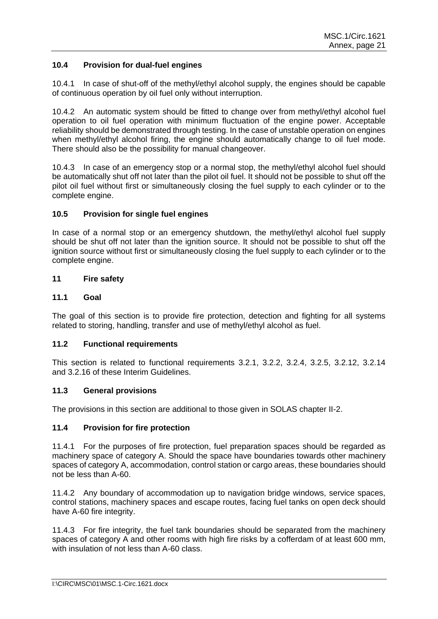## **10.4 Provision for dual-fuel engines**

10.4.1 In case of shut-off of the methyl/ethyl alcohol supply, the engines should be capable of continuous operation by oil fuel only without interruption.

10.4.2 An automatic system should be fitted to change over from methyl/ethyl alcohol fuel operation to oil fuel operation with minimum fluctuation of the engine power. Acceptable reliability should be demonstrated through testing. In the case of unstable operation on engines when methyl/ethyl alcohol firing, the engine should automatically change to oil fuel mode. There should also be the possibility for manual changeover.

10.4.3 In case of an emergency stop or a normal stop, the methyl/ethyl alcohol fuel should be automatically shut off not later than the pilot oil fuel. It should not be possible to shut off the pilot oil fuel without first or simultaneously closing the fuel supply to each cylinder or to the complete engine.

### **10.5 Provision for single fuel engines**

In case of a normal stop or an emergency shutdown, the methyl/ethyl alcohol fuel supply should be shut off not later than the ignition source. It should not be possible to shut off the ignition source without first or simultaneously closing the fuel supply to each cylinder or to the complete engine.

### **11 Fire safety**

### **11.1 Goal**

The goal of this section is to provide fire protection, detection and fighting for all systems related to storing, handling, transfer and use of methyl/ethyl alcohol as fuel.

#### **11.2 Functional requirements**

This section is related to functional requirements 3.2.1, 3.2.2, 3.2.4, 3.2.5, 3.2.12, 3.2.14 and 3.2.16 of these Interim Guidelines.

#### **11.3 General provisions**

The provisions in this section are additional to those given in SOLAS chapter II-2.

### **11.4 Provision for fire protection**

11.4.1 For the purposes of fire protection, fuel preparation spaces should be regarded as machinery space of category A. Should the space have boundaries towards other machinery spaces of category A, accommodation, control station or cargo areas, these boundaries should not be less than A-60.

11.4.2 Any boundary of accommodation up to navigation bridge windows, service spaces, control stations, machinery spaces and escape routes, facing fuel tanks on open deck should have A-60 fire integrity.

11.4.3 For fire integrity, the fuel tank boundaries should be separated from the machinery spaces of category A and other rooms with high fire risks by a cofferdam of at least 600 mm, with insulation of not less than A-60 class.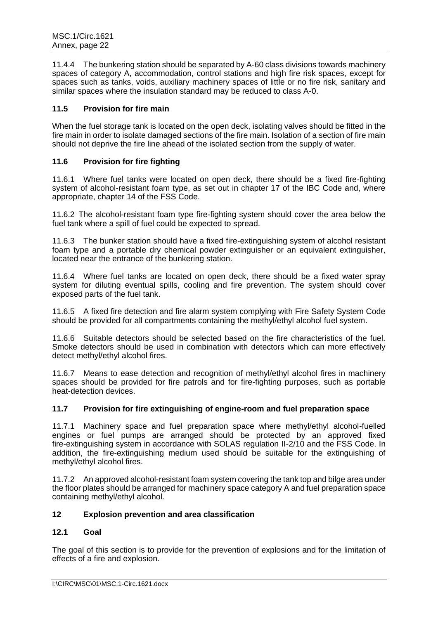11.4.4 The bunkering station should be separated by A-60 class divisions towards machinery spaces of category A, accommodation, control stations and high fire risk spaces, except for spaces such as tanks, voids, auxiliary machinery spaces of little or no fire risk, sanitary and similar spaces where the insulation standard may be reduced to class A-0.

### **11.5 Provision for fire main**

When the fuel storage tank is located on the open deck, isolating valves should be fitted in the fire main in order to isolate damaged sections of the fire main. Isolation of a section of fire main should not deprive the fire line ahead of the isolated section from the supply of water.

### **11.6 Provision for fire fighting**

11.6.1 Where fuel tanks were located on open deck, there should be a fixed fire-fighting system of alcohol-resistant foam type, as set out in chapter 17 of the IBC Code and, where appropriate, chapter 14 of the FSS Code.

11.6.2 The alcohol-resistant foam type fire-fighting system should cover the area below the fuel tank where a spill of fuel could be expected to spread.

11.6.3 The bunker station should have a fixed fire-extinguishing system of alcohol resistant foam type and a portable dry chemical powder extinguisher or an equivalent extinguisher, located near the entrance of the bunkering station.

11.6.4 Where fuel tanks are located on open deck, there should be a fixed water spray system for diluting eventual spills, cooling and fire prevention. The system should cover exposed parts of the fuel tank.

11.6.5 A fixed fire detection and fire alarm system complying with Fire Safety System Code should be provided for all compartments containing the methyl/ethyl alcohol fuel system.

11.6.6 Suitable detectors should be selected based on the fire characteristics of the fuel. Smoke detectors should be used in combination with detectors which can more effectively detect methyl/ethyl alcohol fires.

11.6.7 Means to ease detection and recognition of methyl/ethyl alcohol fires in machinery spaces should be provided for fire patrols and for fire-fighting purposes, such as portable heat-detection devices.

### **11.7 Provision for fire extinguishing of engine-room and fuel preparation space**

11.7.1 Machinery space and fuel preparation space where methyl/ethyl alcohol-fuelled engines or fuel pumps are arranged should be protected by an approved fixed fire-extinguishing system in accordance with SOLAS regulation II-2/10 and the FSS Code. In addition, the fire-extinguishing medium used should be suitable for the extinguishing of methyl/ethyl alcohol fires.

11.7.2 An approved alcohol-resistant foam system covering the tank top and bilge area under the floor plates should be arranged for machinery space category A and fuel preparation space containing methyl/ethyl alcohol.

### **12 Explosion prevention and area classification**

### **12.1 Goal**

The goal of this section is to provide for the prevention of explosions and for the limitation of effects of a fire and explosion.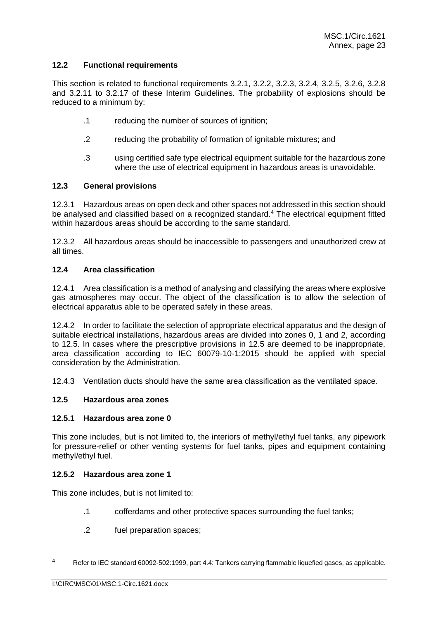## **12.2 Functional requirements**

This section is related to functional requirements 3.2.1, 3.2.2, 3.2.3, 3.2.4, 3.2.5, 3.2.6, 3.2.8 and 3.2.11 to 3.2.17 of these Interim Guidelines. The probability of explosions should be reduced to a minimum by:

- .1 reducing the number of sources of ignition;
- .2 reducing the probability of formation of ignitable mixtures; and
- .3 using certified safe type electrical equipment suitable for the hazardous zone where the use of electrical equipment in hazardous areas is unavoidable.

### **12.3 General provisions**

12.3.1 Hazardous areas on open deck and other spaces not addressed in this section should be analysed and classified based on a recognized standard.<sup>4</sup> The electrical equipment fitted within hazardous areas should be according to the same standard.

12.3.2 All hazardous areas should be inaccessible to passengers and unauthorized crew at all times.

# **12.4 Area classification**

12.4.1 Area classification is a method of analysing and classifying the areas where explosive gas atmospheres may occur. The object of the classification is to allow the selection of electrical apparatus able to be operated safely in these areas.

12.4.2 In order to facilitate the selection of appropriate electrical apparatus and the design of suitable electrical installations, hazardous areas are divided into zones 0, 1 and 2, according to 12.5. In cases where the prescriptive provisions in 12.5 are deemed to be inappropriate, area classification according to IEC 60079-10-1:2015 should be applied with special consideration by the Administration.

12.4.3 Ventilation ducts should have the same area classification as the ventilated space.

## **12.5 Hazardous area zones**

### **12.5.1 Hazardous area zone 0**

This zone includes, but is not limited to, the interiors of methyl/ethyl fuel tanks, any pipework for pressure-relief or other venting systems for fuel tanks, pipes and equipment containing methyl/ethyl fuel.

### **12.5.2 Hazardous area zone 1**

This zone includes, but is not limited to:

- .1 cofferdams and other protective spaces surrounding the fuel tanks;
- .2 fuel preparation spaces;

<sup>4</sup> Refer to IEC standard 60092-502:1999, part 4.4: Tankers carrying flammable liquefied gases, as applicable.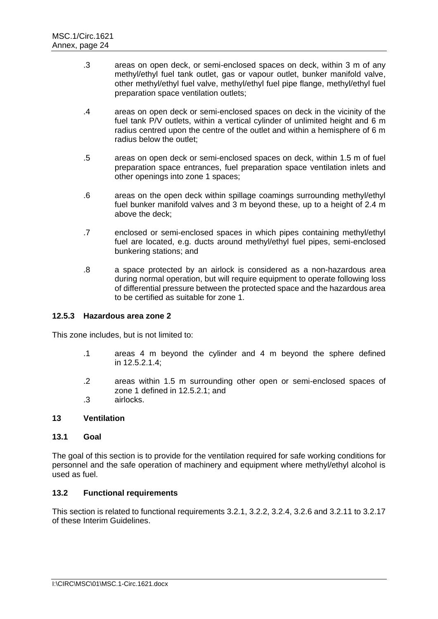- .3 areas on open deck, or semi-enclosed spaces on deck, within 3 m of any methyl/ethyl fuel tank outlet, gas or vapour outlet, bunker manifold valve, other methyl/ethyl fuel valve, methyl/ethyl fuel pipe flange, methyl/ethyl fuel preparation space ventilation outlets;
- .4 areas on open deck or semi-enclosed spaces on deck in the vicinity of the fuel tank P/V outlets, within a vertical cylinder of unlimited height and 6 m radius centred upon the centre of the outlet and within a hemisphere of 6 m radius below the outlet;
- .5 areas on open deck or semi-enclosed spaces on deck, within 1.5 m of fuel preparation space entrances, fuel preparation space ventilation inlets and other openings into zone 1 spaces;
- .6 areas on the open deck within spillage coamings surrounding methyl/ethyl fuel bunker manifold valves and 3 m beyond these, up to a height of 2.4 m above the deck;
- .7 enclosed or semi-enclosed spaces in which pipes containing methyl/ethyl fuel are located, e.g. ducts around methyl/ethyl fuel pipes, semi-enclosed bunkering stations; and
- .8 a space protected by an airlock is considered as a non-hazardous area during normal operation, but will require equipment to operate following loss of differential pressure between the protected space and the hazardous area to be certified as suitable for zone 1.

### **12.5.3 Hazardous area zone 2**

This zone includes, but is not limited to:

- .1 areas 4 m beyond the cylinder and 4 m beyond the sphere defined in 12.5.2.1.4;
- .2 areas within 1.5 m surrounding other open or semi-enclosed spaces of zone 1 defined in 12.5.2.1; and
- .3 airlocks.

### **13 Ventilation**

#### **13.1 Goal**

The goal of this section is to provide for the ventilation required for safe working conditions for personnel and the safe operation of machinery and equipment where methyl/ethyl alcohol is used as fuel.

### **13.2 Functional requirements**

This section is related to functional requirements 3.2.1, 3.2.2, 3.2.4, 3.2.6 and 3.2.11 to 3.2.17 of these Interim Guidelines.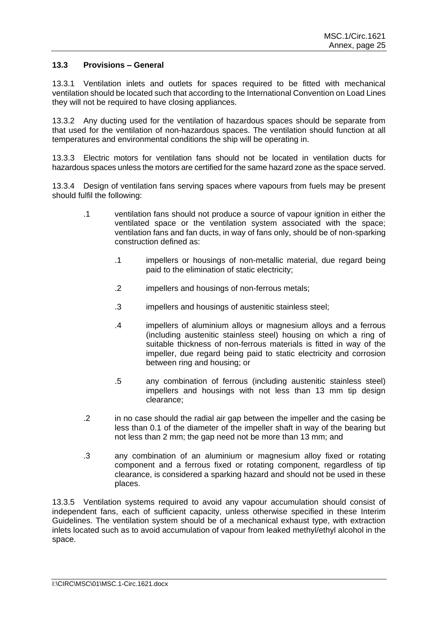### **13.3 Provisions – General**

13.3.1 Ventilation inlets and outlets for spaces required to be fitted with mechanical ventilation should be located such that according to the International Convention on Load Lines they will not be required to have closing appliances.

13.3.2 Any ducting used for the ventilation of hazardous spaces should be separate from that used for the ventilation of non-hazardous spaces. The ventilation should function at all temperatures and environmental conditions the ship will be operating in.

13.3.3 Electric motors for ventilation fans should not be located in ventilation ducts for hazardous spaces unless the motors are certified for the same hazard zone as the space served.

13.3.4 Design of ventilation fans serving spaces where vapours from fuels may be present should fulfil the following:

- .1 ventilation fans should not produce a source of vapour ignition in either the ventilated space or the ventilation system associated with the space; ventilation fans and fan ducts, in way of fans only, should be of non-sparking construction defined as:
	- .1 impellers or housings of non-metallic material, due regard being paid to the elimination of static electricity;
	- .2 impellers and housings of non-ferrous metals;
	- .3 impellers and housings of austenitic stainless steel;
	- .4 impellers of aluminium alloys or magnesium alloys and a ferrous (including austenitic stainless steel) housing on which a ring of suitable thickness of non-ferrous materials is fitted in way of the impeller, due regard being paid to static electricity and corrosion between ring and housing; or
	- .5 any combination of ferrous (including austenitic stainless steel) impellers and housings with not less than 13 mm tip design clearance;
- .2 in no case should the radial air gap between the impeller and the casing be less than 0.1 of the diameter of the impeller shaft in way of the bearing but not less than 2 mm; the gap need not be more than 13 mm; and
- .3 any combination of an aluminium or magnesium alloy fixed or rotating component and a ferrous fixed or rotating component, regardless of tip clearance, is considered a sparking hazard and should not be used in these places.

13.3.5 Ventilation systems required to avoid any vapour accumulation should consist of independent fans, each of sufficient capacity, unless otherwise specified in these Interim Guidelines. The ventilation system should be of a mechanical exhaust type, with extraction inlets located such as to avoid accumulation of vapour from leaked methyl/ethyl alcohol in the space.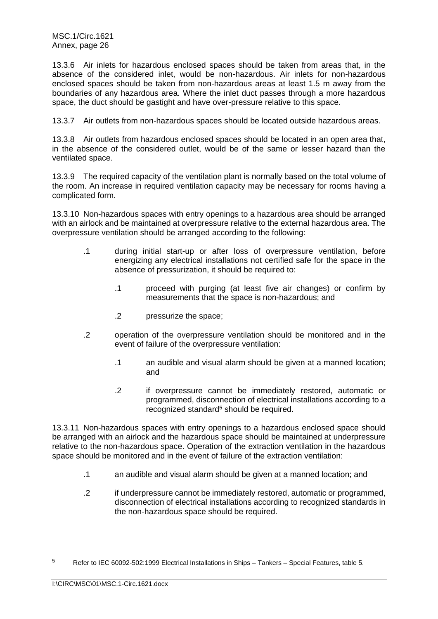13.3.6 Air inlets for hazardous enclosed spaces should be taken from areas that, in the absence of the considered inlet, would be non-hazardous. Air inlets for non-hazardous enclosed spaces should be taken from non-hazardous areas at least 1.5 m away from the boundaries of any hazardous area. Where the inlet duct passes through a more hazardous space, the duct should be gastight and have over-pressure relative to this space.

13.3.7 Air outlets from non-hazardous spaces should be located outside hazardous areas.

13.3.8 Air outlets from hazardous enclosed spaces should be located in an open area that, in the absence of the considered outlet, would be of the same or lesser hazard than the ventilated space.

13.3.9 The required capacity of the ventilation plant is normally based on the total volume of the room. An increase in required ventilation capacity may be necessary for rooms having a complicated form.

13.3.10 Non-hazardous spaces with entry openings to a hazardous area should be arranged with an airlock and be maintained at overpressure relative to the external hazardous area. The overpressure ventilation should be arranged according to the following:

- .1 during initial start-up or after loss of overpressure ventilation, before energizing any electrical installations not certified safe for the space in the absence of pressurization, it should be required to:
	- .1 proceed with purging (at least five air changes) or confirm by measurements that the space is non-hazardous; and
	- .2 pressurize the space;
- .2 operation of the overpressure ventilation should be monitored and in the event of failure of the overpressure ventilation:
	- .1 an audible and visual alarm should be given at a manned location; and
	- .2 if overpressure cannot be immediately restored, automatic or programmed, disconnection of electrical installations according to a recognized standard<sup>5</sup> should be required.

13.3.11 Non-hazardous spaces with entry openings to a hazardous enclosed space should be arranged with an airlock and the hazardous space should be maintained at underpressure relative to the non-hazardous space. Operation of the extraction ventilation in the hazardous space should be monitored and in the event of failure of the extraction ventilation:

- .1 an audible and visual alarm should be given at a manned location; and
- .2 if underpressure cannot be immediately restored, automatic or programmed, disconnection of electrical installations according to recognized standards in the non-hazardous space should be required.

 $5$  Refer to IEC 60092-502:1999 Electrical Installations in Ships – Tankers – Special Features, table 5.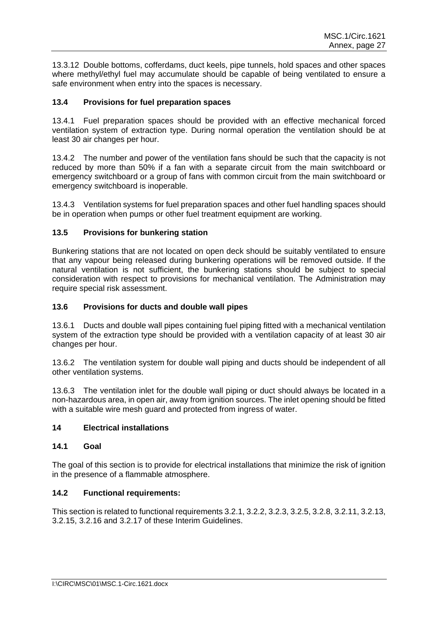13.3.12 Double bottoms, cofferdams, duct keels, pipe tunnels, hold spaces and other spaces where methyl/ethyl fuel may accumulate should be capable of being ventilated to ensure a safe environment when entry into the spaces is necessary.

## **13.4 Provisions for fuel preparation spaces**

13.4.1 Fuel preparation spaces should be provided with an effective mechanical forced ventilation system of extraction type. During normal operation the ventilation should be at least 30 air changes per hour.

13.4.2 The number and power of the ventilation fans should be such that the capacity is not reduced by more than 50% if a fan with a separate circuit from the main switchboard or emergency switchboard or a group of fans with common circuit from the main switchboard or emergency switchboard is inoperable.

13.4.3 Ventilation systems for fuel preparation spaces and other fuel handling spaces should be in operation when pumps or other fuel treatment equipment are working.

### **13.5 Provisions for bunkering station**

Bunkering stations that are not located on open deck should be suitably ventilated to ensure that any vapour being released during bunkering operations will be removed outside. If the natural ventilation is not sufficient, the bunkering stations should be subject to special consideration with respect to provisions for mechanical ventilation. The Administration may require special risk assessment.

#### **13.6 Provisions for ducts and double wall pipes**

13.6.1 Ducts and double wall pipes containing fuel piping fitted with a mechanical ventilation system of the extraction type should be provided with a ventilation capacity of at least 30 air changes per hour.

13.6.2 The ventilation system for double wall piping and ducts should be independent of all other ventilation systems.

13.6.3 The ventilation inlet for the double wall piping or duct should always be located in a non-hazardous area, in open air, away from ignition sources. The inlet opening should be fitted with a suitable wire mesh quard and protected from ingress of water.

### **14 Electrical installations**

# **14.1 Goal**

The goal of this section is to provide for electrical installations that minimize the risk of ignition in the presence of a flammable atmosphere.

### **14.2 Functional requirements:**

This section is related to functional requirements 3.2.1, 3.2.2, 3.2.3, 3.2.5, 3.2.8, 3.2.11, 3.2.13, 3.2.15, 3.2.16 and 3.2.17 of these Interim Guidelines.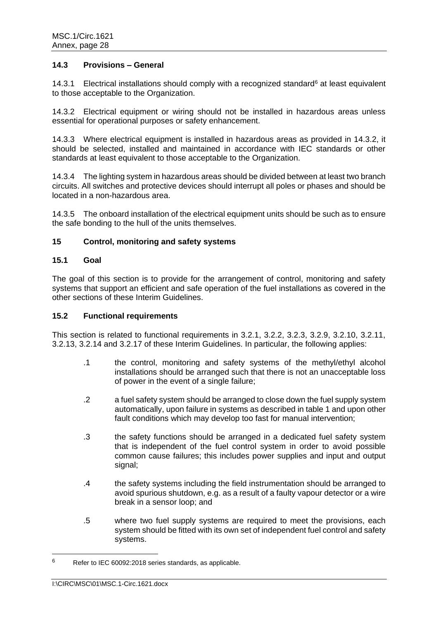### **14.3 Provisions – General**

14.3.1 Electrical installations should comply with a recognized standard $6$  at least equivalent to those acceptable to the Organization.

14.3.2 Electrical equipment or wiring should not be installed in hazardous areas unless essential for operational purposes or safety enhancement.

14.3.3 Where electrical equipment is installed in hazardous areas as provided in 14.3.2, it should be selected, installed and maintained in accordance with IEC standards or other standards at least equivalent to those acceptable to the Organization.

14.3.4 The lighting system in hazardous areas should be divided between at least two branch circuits. All switches and protective devices should interrupt all poles or phases and should be located in a non-hazardous area.

14.3.5 The onboard installation of the electrical equipment units should be such as to ensure the safe bonding to the hull of the units themselves.

### **15 Control, monitoring and safety systems**

### **15.1 Goal**

The goal of this section is to provide for the arrangement of control, monitoring and safety systems that support an efficient and safe operation of the fuel installations as covered in the other sections of these Interim Guidelines.

#### **15.2 Functional requirements**

This section is related to functional requirements in 3.2.1, 3.2.2, 3.2.3, 3.2.9, 3.2.10, 3.2.11, 3.2.13, 3.2.14 and 3.2.17 of these Interim Guidelines. In particular, the following applies:

- .1 the control, monitoring and safety systems of the methyl/ethyl alcohol installations should be arranged such that there is not an unacceptable loss of power in the event of a single failure;
- .2 a fuel safety system should be arranged to close down the fuel supply system automatically, upon failure in systems as described in table 1 and upon other fault conditions which may develop too fast for manual intervention;
- .3 the safety functions should be arranged in a dedicated fuel safety system that is independent of the fuel control system in order to avoid possible common cause failures; this includes power supplies and input and output signal;
- .4 the safety systems including the field instrumentation should be arranged to avoid spurious shutdown, e.g. as a result of a faulty vapour detector or a wire break in a sensor loop; and
- .5 where two fuel supply systems are required to meet the provisions, each system should be fitted with its own set of independent fuel control and safety systems.

 $6$  Refer to IEC 60092:2018 series standards, as applicable.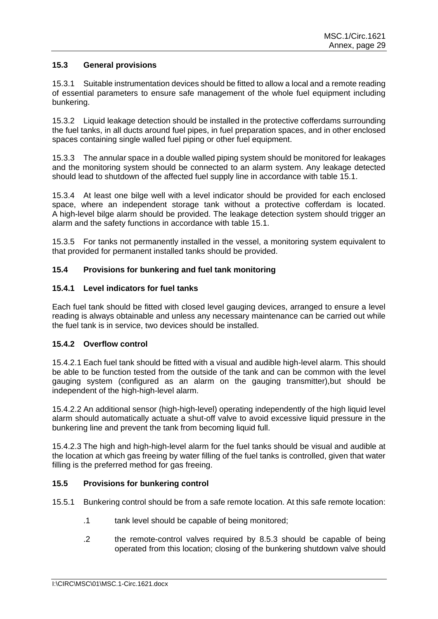## **15.3 General provisions**

15.3.1 Suitable instrumentation devices should be fitted to allow a local and a remote reading of essential parameters to ensure safe management of the whole fuel equipment including bunkering.

15.3.2 Liquid leakage detection should be installed in the protective cofferdams surrounding the fuel tanks, in all ducts around fuel pipes, in fuel preparation spaces, and in other enclosed spaces containing single walled fuel piping or other fuel equipment.

15.3.3 The annular space in a double walled piping system should be monitored for leakages and the monitoring system should be connected to an alarm system. Any leakage detected should lead to shutdown of the affected fuel supply line in accordance with table 15.1.

15.3.4 At least one bilge well with a level indicator should be provided for each enclosed space, where an independent storage tank without a protective cofferdam is located. A high-level bilge alarm should be provided. The leakage detection system should trigger an alarm and the safety functions in accordance with table 15.1.

15.3.5 For tanks not permanently installed in the vessel, a monitoring system equivalent to that provided for permanent installed tanks should be provided.

# **15.4 Provisions for bunkering and fuel tank monitoring**

## **15.4.1 Level indicators for fuel tanks**

Each fuel tank should be fitted with closed level gauging devices, arranged to ensure a level reading is always obtainable and unless any necessary maintenance can be carried out while the fuel tank is in service, two devices should be installed.

### **15.4.2 Overflow control**

15.4.2.1 Each fuel tank should be fitted with a visual and audible high-level alarm. This should be able to be function tested from the outside of the tank and can be common with the level gauging system (configured as an alarm on the gauging transmitter),but should be independent of the high-high-level alarm.

15.4.2.2 An additional sensor (high-high-level) operating independently of the high liquid level alarm should automatically actuate a shut-off valve to avoid excessive liquid pressure in the bunkering line and prevent the tank from becoming liquid full.

15.4.2.3 The high and high-high-level alarm for the fuel tanks should be visual and audible at the location at which gas freeing by water filling of the fuel tanks is controlled, given that water filling is the preferred method for gas freeing.

### **15.5 Provisions for bunkering control**

- 15.5.1 Bunkering control should be from a safe remote location. At this safe remote location:
	- .1 tank level should be capable of being monitored;
	- .2 the remote-control valves required by 8.5.3 should be capable of being operated from this location; closing of the bunkering shutdown valve should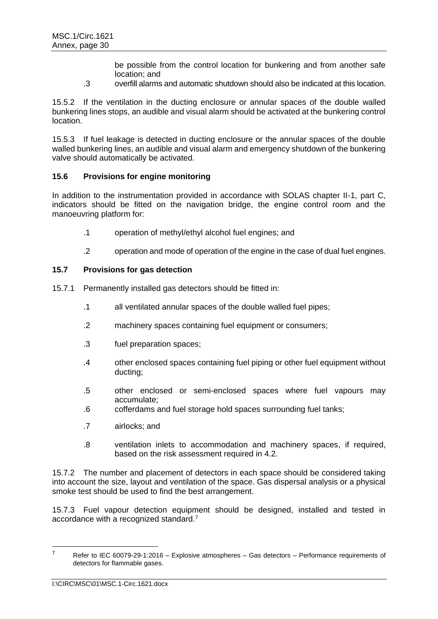be possible from the control location for bunkering and from another safe location; and

.3 overfill alarms and automatic shutdown should also be indicated at this location.

15.5.2 If the ventilation in the ducting enclosure or annular spaces of the double walled bunkering lines stops, an audible and visual alarm should be activated at the bunkering control location.

15.5.3 If fuel leakage is detected in ducting enclosure or the annular spaces of the double walled bunkering lines, an audible and visual alarm and emergency shutdown of the bunkering valve should automatically be activated.

### **15.6 Provisions for engine monitoring**

In addition to the instrumentation provided in accordance with SOLAS chapter II-1, part C. indicators should be fitted on the navigation bridge, the engine control room and the manoeuvring platform for:

- .1 operation of methyl/ethyl alcohol fuel engines; and
- .2 operation and mode of operation of the engine in the case of dual fuel engines.

### **15.7 Provisions for gas detection**

- 15.7.1 Permanently installed gas detectors should be fitted in:
	- .1 all ventilated annular spaces of the double walled fuel pipes;
	- .2 machinery spaces containing fuel equipment or consumers;
	- .3 fuel preparation spaces;
	- .4 other enclosed spaces containing fuel piping or other fuel equipment without ducting;
	- .5 other enclosed or semi-enclosed spaces where fuel vapours may accumulate;
	- .6 cofferdams and fuel storage hold spaces surrounding fuel tanks;
	- .7 airlocks; and
	- .8 ventilation inlets to accommodation and machinery spaces, if required, based on the risk assessment required in 4.2.

15.7.2 The number and placement of detectors in each space should be considered taking into account the size, layout and ventilation of the space. Gas dispersal analysis or a physical smoke test should be used to find the best arrangement.

15.7.3 Fuel vapour detection equipment should be designed, installed and tested in accordance with a recognized standard.<sup>7</sup>

 $7$  Refer to IEC 60079-29-1:2016 – Explosive atmospheres – Gas detectors – Performance requirements of detectors for flammable gases.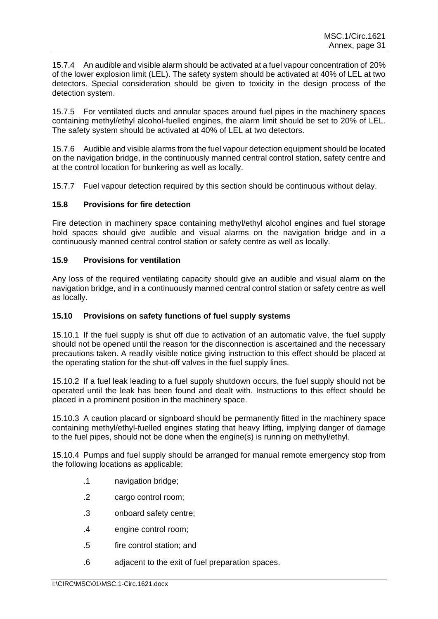15.7.4 An audible and visible alarm should be activated at a fuel vapour concentration of 20% of the lower explosion limit (LEL). The safety system should be activated at 40% of LEL at two detectors. Special consideration should be given to toxicity in the design process of the detection system.

15.7.5 For ventilated ducts and annular spaces around fuel pipes in the machinery spaces containing methyl/ethyl alcohol-fuelled engines, the alarm limit should be set to 20% of LEL. The safety system should be activated at 40% of LEL at two detectors.

15.7.6 Audible and visible alarms from the fuel vapour detection equipment should be located on the navigation bridge, in the continuously manned central control station, safety centre and at the control location for bunkering as well as locally.

15.7.7 Fuel vapour detection required by this section should be continuous without delay.

### **15.8 Provisions for fire detection**

Fire detection in machinery space containing methyl/ethyl alcohol engines and fuel storage hold spaces should give audible and visual alarms on the navigation bridge and in a continuously manned central control station or safety centre as well as locally.

### **15.9 Provisions for ventilation**

Any loss of the required ventilating capacity should give an audible and visual alarm on the navigation bridge, and in a continuously manned central control station or safety centre as well as locally.

### **15.10 Provisions on safety functions of fuel supply systems**

15.10.1 If the fuel supply is shut off due to activation of an automatic valve, the fuel supply should not be opened until the reason for the disconnection is ascertained and the necessary precautions taken. A readily visible notice giving instruction to this effect should be placed at the operating station for the shut-off valves in the fuel supply lines.

15.10.2 If a fuel leak leading to a fuel supply shutdown occurs, the fuel supply should not be operated until the leak has been found and dealt with. Instructions to this effect should be placed in a prominent position in the machinery space.

15.10.3 A caution placard or signboard should be permanently fitted in the machinery space containing methyl/ethyl-fuelled engines stating that heavy lifting, implying danger of damage to the fuel pipes, should not be done when the engine(s) is running on methyl/ethyl.

15.10.4 Pumps and fuel supply should be arranged for manual remote emergency stop from the following locations as applicable:

- .1 navigation bridge;
- .2 cargo control room;
- .3 onboard safety centre;
- .4 engine control room;
- .5 fire control station; and
- .6 adjacent to the exit of fuel preparation spaces.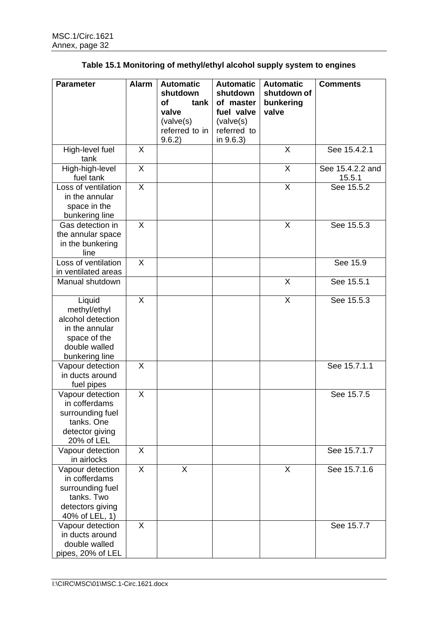| <b>Parameter</b>               | <b>Alarm</b> | <b>Automatic</b>         | <b>Automatic</b>         | <b>Automatic</b>        | <b>Comments</b>  |
|--------------------------------|--------------|--------------------------|--------------------------|-------------------------|------------------|
|                                |              | shutdown                 | shutdown                 | shutdown of             |                  |
|                                |              | <b>of</b><br>tank        | of master                | bunkering               |                  |
|                                |              | valve                    | fuel valve               | valve                   |                  |
|                                |              | (volve(s))               | (volve(s))               |                         |                  |
|                                |              | referred to in<br>9.6.2) | referred to<br>in 9.6.3) |                         |                  |
| High-level fuel                | X            |                          |                          | X                       | See 15.4.2.1     |
| tank                           |              |                          |                          |                         |                  |
| High-high-level                | X            |                          |                          | X                       | See 15.4.2.2 and |
| fuel tank                      |              |                          |                          |                         | 15.5.1           |
| Loss of ventilation            | $\sf X$      |                          |                          | $\overline{\mathsf{x}}$ | See 15.5.2       |
| in the annular                 |              |                          |                          |                         |                  |
| space in the                   |              |                          |                          |                         |                  |
| bunkering line                 |              |                          |                          |                         |                  |
| Gas detection in               | X            |                          |                          | X                       | See 15.5.3       |
| the annular space              |              |                          |                          |                         |                  |
| in the bunkering               |              |                          |                          |                         |                  |
| line                           |              |                          |                          |                         |                  |
| Loss of ventilation            | $\sf X$      |                          |                          |                         | See 15.9         |
| in ventilated areas            |              |                          |                          |                         |                  |
| Manual shutdown                |              |                          |                          | X                       | See 15.5.1       |
| Liquid                         | X            |                          |                          | X                       | See 15.5.3       |
| methyl/ethyl                   |              |                          |                          |                         |                  |
| alcohol detection              |              |                          |                          |                         |                  |
| in the annular                 |              |                          |                          |                         |                  |
| space of the                   |              |                          |                          |                         |                  |
| double walled                  |              |                          |                          |                         |                  |
| bunkering line                 |              |                          |                          |                         |                  |
| Vapour detection               | X            |                          |                          |                         | See 15.7.1.1     |
| in ducts around                |              |                          |                          |                         |                  |
| fuel pipes                     |              |                          |                          |                         |                  |
| Vapour detection               | X            |                          |                          |                         | See 15.7.5       |
| in cofferdams                  |              |                          |                          |                         |                  |
| surrounding fuel<br>tanks. One |              |                          |                          |                         |                  |
| detector giving                |              |                          |                          |                         |                  |
| 20% of LEL                     |              |                          |                          |                         |                  |
| Vapour detection               | X            |                          |                          |                         | See 15.7.1.7     |
| in airlocks                    |              |                          |                          |                         |                  |
| Vapour detection               | X            | X                        |                          | X                       | See 15.7.1.6     |
| in cofferdams                  |              |                          |                          |                         |                  |
| surrounding fuel               |              |                          |                          |                         |                  |
| tanks. Two                     |              |                          |                          |                         |                  |
| detectors giving               |              |                          |                          |                         |                  |
| 40% of LEL, 1)                 |              |                          |                          |                         |                  |
| Vapour detection               | X            |                          |                          |                         | See 15.7.7       |
| in ducts around                |              |                          |                          |                         |                  |
| double walled                  |              |                          |                          |                         |                  |
| pipes, 20% of LEL              |              |                          |                          |                         |                  |

| Table 15.1 Monitoring of methyl/ethyl alcohol supply system to engines |  |  |  |
|------------------------------------------------------------------------|--|--|--|
|------------------------------------------------------------------------|--|--|--|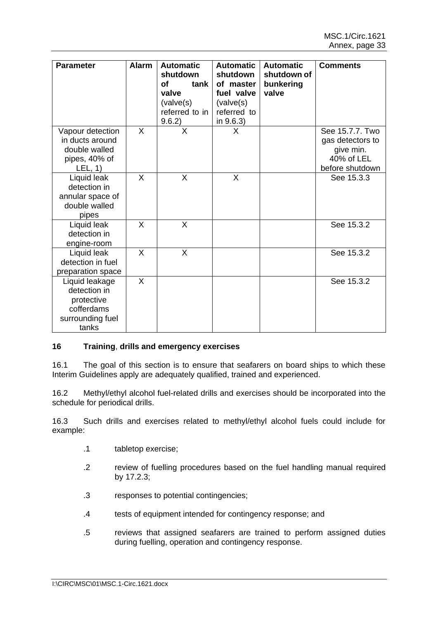| <b>Parameter</b>                                                                        | <b>Alarm</b> | <b>Automatic</b><br>shutdown<br>οf<br>tank l<br>valve<br>(volve(s))<br>referred to in<br>9.6.2) | <b>Automatic</b><br>shutdown<br>of master<br>fuel valve<br>(valve(s)<br>referred to<br>in 9.6.3) | <b>Automatic</b><br>shutdown of<br>bunkering<br>valve | <b>Comments</b>                                                                   |
|-----------------------------------------------------------------------------------------|--------------|-------------------------------------------------------------------------------------------------|--------------------------------------------------------------------------------------------------|-------------------------------------------------------|-----------------------------------------------------------------------------------|
| Vapour detection<br>in ducts around<br>double walled<br>pipes, 40% of<br>LEL, 1)        | X            | X                                                                                               | X                                                                                                |                                                       | See 15.7.7. Two<br>gas detectors to<br>give min.<br>40% of LEL<br>before shutdown |
| Liquid leak<br>detection in<br>annular space of<br>double walled<br>pipes               | X            | X                                                                                               | $\mathsf{X}$                                                                                     |                                                       | See 15.3.3                                                                        |
| Liquid leak<br>detection in<br>engine-room                                              | X            | X                                                                                               |                                                                                                  |                                                       | See 15.3.2                                                                        |
| Liquid leak<br>detection in fuel<br>preparation space                                   | X            | X                                                                                               |                                                                                                  |                                                       | See 15.3.2                                                                        |
| Liquid leakage<br>detection in<br>protective<br>cofferdams<br>surrounding fuel<br>tanks | X            |                                                                                                 |                                                                                                  |                                                       | See 15.3.2                                                                        |

# **16 Training**, **drills and emergency exercises**

16.1 The goal of this section is to ensure that seafarers on board ships to which these Interim Guidelines apply are adequately qualified, trained and experienced.

16.2 Methyl/ethyl alcohol fuel-related drills and exercises should be incorporated into the schedule for periodical drills.

16.3 Such drills and exercises related to methyl/ethyl alcohol fuels could include for example:

- .1 tabletop exercise;
- .2 review of fuelling procedures based on the fuel handling manual required by 17.2.3;
- .3 responses to potential contingencies;
- .4 tests of equipment intended for contingency response; and
- .5 reviews that assigned seafarers are trained to perform assigned duties during fuelling, operation and contingency response.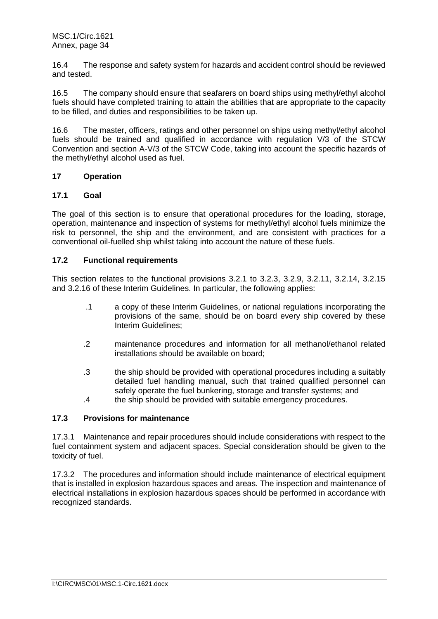16.4 The response and safety system for hazards and accident control should be reviewed and tested.

16.5 The company should ensure that seafarers on board ships using methyl/ethyl alcohol fuels should have completed training to attain the abilities that are appropriate to the capacity to be filled, and duties and responsibilities to be taken up.

16.6 The master, officers, ratings and other personnel on ships using methyl/ethyl alcohol fuels should be trained and qualified in accordance with regulation V/3 of the STCW Convention and section A-V/3 of the STCW Code, taking into account the specific hazards of the methyl/ethyl alcohol used as fuel.

### **17 Operation**

# **17.1 Goal**

The goal of this section is to ensure that operational procedures for the loading, storage, operation, maintenance and inspection of systems for methyl/ethyl alcohol fuels minimize the risk to personnel, the ship and the environment, and are consistent with practices for a conventional oil-fuelled ship whilst taking into account the nature of these fuels.

# **17.2 Functional requirements**

This section relates to the functional provisions 3.2.1 to 3.2.3, 3.2.9, 3.2.11, 3.2.14, 3.2.15 and 3.2.16 of these Interim Guidelines. In particular, the following applies:

- .1 a copy of these Interim Guidelines, or national regulations incorporating the provisions of the same, should be on board every ship covered by these Interim Guidelines;
- .2 maintenance procedures and information for all methanol/ethanol related installations should be available on board;
- .3 the ship should be provided with operational procedures including a suitably detailed fuel handling manual, such that trained qualified personnel can safely operate the fuel bunkering, storage and transfer systems; and
- .4 the ship should be provided with suitable emergency procedures.

# **17.3 Provisions for maintenance**

17.3.1 Maintenance and repair procedures should include considerations with respect to the fuel containment system and adjacent spaces. Special consideration should be given to the toxicity of fuel.

17.3.2 The procedures and information should include maintenance of electrical equipment that is installed in explosion hazardous spaces and areas. The inspection and maintenance of electrical installations in explosion hazardous spaces should be performed in accordance with recognized standards.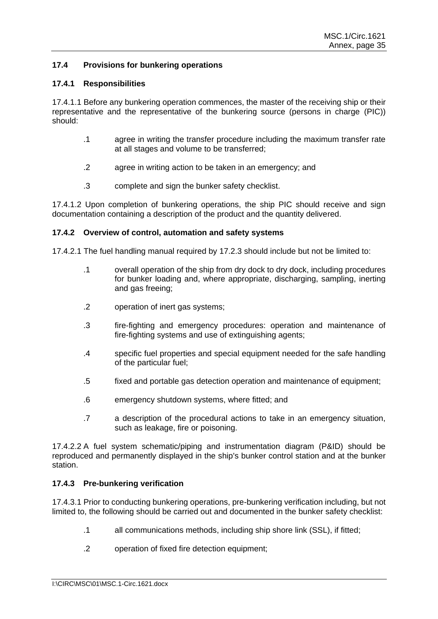## **17.4 Provisions for bunkering operations**

### **17.4.1 Responsibilities**

17.4.1.1 Before any bunkering operation commences, the master of the receiving ship or their representative and the representative of the bunkering source (persons in charge (PIC)) should:

- .1 agree in writing the transfer procedure including the maximum transfer rate at all stages and volume to be transferred;
- .2 agree in writing action to be taken in an emergency; and
- .3 complete and sign the bunker safety checklist.

17.4.1.2 Upon completion of bunkering operations, the ship PIC should receive and sign documentation containing a description of the product and the quantity delivered.

### **17.4.2 Overview of control, automation and safety systems**

17.4.2.1 The fuel handling manual required by 17.2.3 should include but not be limited to:

- .1 overall operation of the ship from dry dock to dry dock, including procedures for bunker loading and, where appropriate, discharging, sampling, inerting and gas freeing;
- .2 operation of inert gas systems;
- .3 fire-fighting and emergency procedures: operation and maintenance of fire-fighting systems and use of extinguishing agents;
- .4 specific fuel properties and special equipment needed for the safe handling of the particular fuel;
- .5 fixed and portable gas detection operation and maintenance of equipment;
- .6 emergency shutdown systems, where fitted; and
- .7 a description of the procedural actions to take in an emergency situation, such as leakage, fire or poisoning.

17.4.2.2 A fuel system schematic/piping and instrumentation diagram (P&ID) should be reproduced and permanently displayed in the ship's bunker control station and at the bunker station.

#### **17.4.3 Pre-bunkering verification**

17.4.3.1 Prior to conducting bunkering operations, pre-bunkering verification including, but not limited to, the following should be carried out and documented in the bunker safety checklist:

- .1 all communications methods, including ship shore link (SSL), if fitted;
- .2 operation of fixed fire detection equipment;